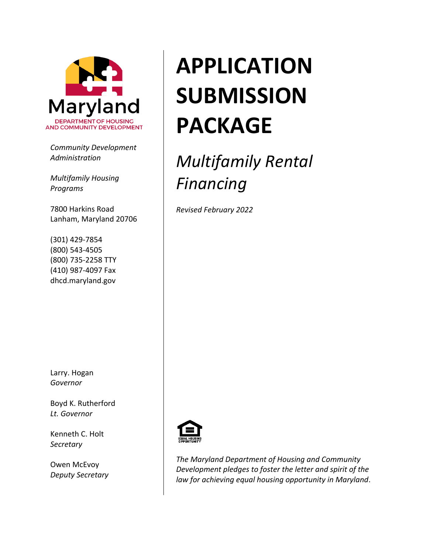

*Community Development Administration*

*Multifamily Housing Programs*

7800 Harkins Road Lanham, Maryland 20706

(301) 429-7854 (800) 543-4505 (800) 735-2258 TTY (410) 987-4097 Fax dhcd.maryland.gov

Larry. Hogan *Governor*

Boyd K. Rutherford *Lt. Governor*

Kenneth C. Holt *Secretary*

Owen McEvoy *Deputy Secretary*

# **APPLICATION SUBMISSION PACKAGE**

# *Multifamily Rental Financing*

*Revised February 2022*



*The Maryland Department of Housing and Community Development pledges to foster the letter and spirit of the law for achieving equal housing opportunity in Maryland*.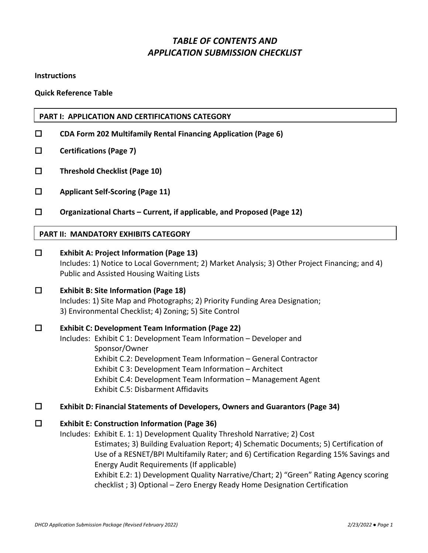# *TABLE OF CONTENTS AND APPLICATION SUBMISSION CHECKLIST*

**Instructions** 

**Quick Reference Table**

#### **PART I: APPLICATION AND CERTIFICATIONS CATEGORY**

- **CDA Form 202 Multifamily Rental Financing Application (Page 6)**
- **Certifications (Page 7)**
- **Threshold Checklist (Page 10)**
- **Applicant Self-Scoring (Page 11)**
- **Organizational Charts – Current, if applicable, and Proposed (Page 12)**

#### **PART II: MANDATORY EXHIBITS CATEGORY**

 **Exhibit A: Project Information (Page 13)** Includes: 1) Notice to Local Government; 2) Market Analysis; 3) Other Project Financing; and 4) Public and Assisted Housing Waiting Lists **Exhibit B: Site Information (Page 18)** Includes: 1) Site Map and Photographs; 2) Priority Funding Area Designation; 3) Environmental Checklist; 4) Zoning; 5) Site Control **Exhibit C: Development Team Information (Page 22)** Includes: Exhibit C 1: Development Team Information – Developer and Sponsor/Owner Exhibit C.2: Development Team Information – General Contractor Exhibit C 3: Development Team Information – Architect Exhibit C.4: Development Team Information – Management Agent Exhibit C.5: Disbarment Affidavits **Exhibit D: Financial Statements of Developers, Owners and Guarantors (Page 34) Exhibit E: Construction Information (Page 36)** Includes: Exhibit E. 1: 1) Development Quality Threshold Narrative; 2) Cost Estimates; 3) Building Evaluation Report; 4) Schematic Documents; 5) Certification of

Use of a RESNET/BPI Multifamily Rater; and 6) Certification Regarding 15% Savings and Energy Audit Requirements (If applicable) Exhibit E.2: 1) Development Quality Narrative/Chart; 2) "Green" Rating Agency scoring checklist ; 3) Optional – Zero Energy Ready Home Designation Certification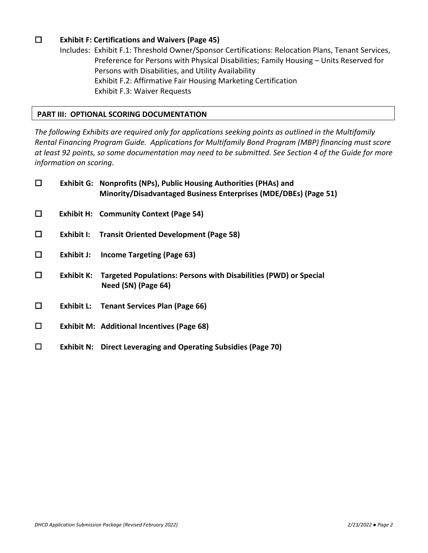## **Exhibit F: Certifications and Waivers (Page 45)**

Includes: Exhibit F.1: Threshold Owner/Sponsor Certifications: Relocation Plans, Tenant Services, Preference for Persons with Physical Disabilities; Family Housing – Units Reserved for Persons with Disabilities, and Utility Availability Exhibit F.2: Affirmative Fair Housing Marketing Certification Exhibit F.3: Waiver Requests

#### **PART III: OPTIONAL SCORING DOCUMENTATION**

*The following Exhibits are required only for applications seeking points as outlined in the Multifamily Rental Financing Program Guide. Applications for Multifamily Bond Program (MBP) financing must score at least 92 points, so some documentation may need to be submitted. See Section 4 of the Guide for more information on scoring.*

| $\Box$ |            | Exhibit G: Nonprofits (NPs), Public Housing Authorities (PHAs) and<br>Minority/Disadvantaged Business Enterprises (MDE/DBEs) (Page 51) |
|--------|------------|----------------------------------------------------------------------------------------------------------------------------------------|
| $\Box$ |            | <b>Exhibit H: Community Context (Page 54)</b>                                                                                          |
| $\Box$ | Exhibit I: | <b>Transit Oriented Development (Page 58)</b>                                                                                          |
| $\Box$ | Exhibit J: | <b>Income Targeting (Page 63)</b>                                                                                                      |
| $\Box$ |            | Exhibit K: Targeted Populations: Persons with Disabilities (PWD) or Special<br>Need (SN) (Page 64)                                     |
| $\Box$ |            | <b>Exhibit L:</b> Tenant Services Plan (Page 66)                                                                                       |
| $\Box$ |            | <b>Exhibit M: Additional Incentives (Page 68)</b>                                                                                      |
| □      |            | <b>Exhibit N: Direct Leveraging and Operating Subsidies (Page 70)</b>                                                                  |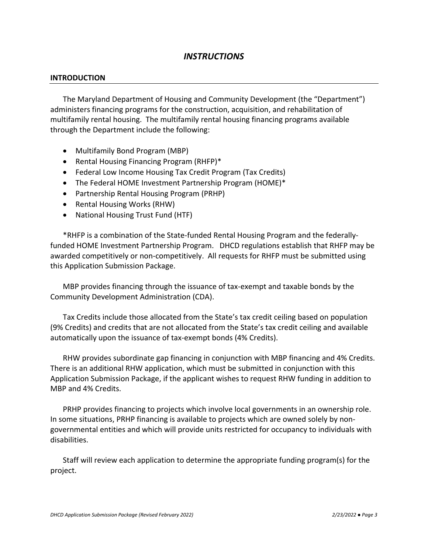# *INSTRUCTIONS*

#### **INTRODUCTION**

The Maryland Department of Housing and Community Development (the "Department") administers financing programs for the construction, acquisition, and rehabilitation of multifamily rental housing. The multifamily rental housing financing programs available through the Department include the following:

- Multifamily Bond Program (MBP)
- Rental Housing Financing Program (RHFP)\*
- Federal Low Income Housing Tax Credit Program (Tax Credits)
- The Federal HOME Investment Partnership Program (HOME)\*
- Partnership Rental Housing Program (PRHP)
- Rental Housing Works (RHW)
- National Housing Trust Fund (HTF)

\*RHFP is a combination of the State-funded Rental Housing Program and the federallyfunded HOME Investment Partnership Program. DHCD regulations establish that RHFP may be awarded competitively or non-competitively. All requests for RHFP must be submitted using this Application Submission Package.

MBP provides financing through the issuance of tax-exempt and taxable bonds by the Community Development Administration (CDA).

Tax Credits include those allocated from the State's tax credit ceiling based on population (9% Credits) and credits that are not allocated from the State's tax credit ceiling and available automatically upon the issuance of tax-exempt bonds (4% Credits).

RHW provides subordinate gap financing in conjunction with MBP financing and 4% Credits. There is an additional RHW application, which must be submitted in conjunction with this Application Submission Package, if the applicant wishes to request RHW funding in addition to MBP and 4% Credits.

PRHP provides financing to projects which involve local governments in an ownership role. In some situations, PRHP financing is available to projects which are owned solely by nongovernmental entities and which will provide units restricted for occupancy to individuals with disabilities.

Staff will review each application to determine the appropriate funding program(s) for the project.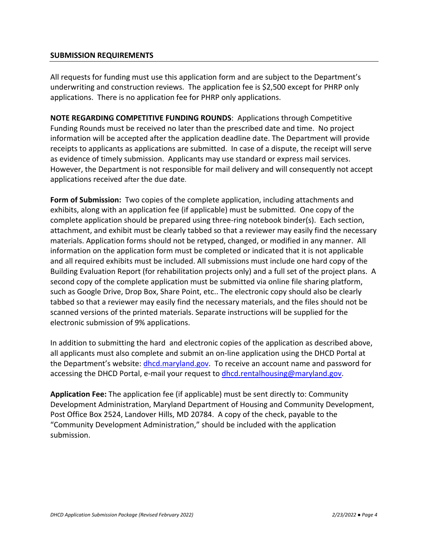#### **SUBMISSION REQUIREMENTS**

All requests for funding must use this application form and are subject to the Department's underwriting and construction reviews. The application fee is \$2,500 except for PHRP only applications. There is no application fee for PHRP only applications.

**NOTE REGARDING COMPETITIVE FUNDING ROUNDS**: Applications through Competitive Funding Rounds must be received no later than the prescribed date and time. No project information will be accepted after the application deadline date. The Department will provide receipts to applicants as applications are submitted. In case of a dispute, the receipt will serve as evidence of timely submission. Applicants may use standard or express mail services. However, the Department is not responsible for mail delivery and will consequently not accept applications received after the due date.

**Form of Submission:** Two copies of the complete application, including attachments and exhibits, along with an application fee (if applicable) must be submitted. One copy of the complete application should be prepared using three-ring notebook binder(s). Each section, attachment, and exhibit must be clearly tabbed so that a reviewer may easily find the necessary materials. Application forms should not be retyped, changed, or modified in any manner. All information on the application form must be completed or indicated that it is not applicable and all required exhibits must be included. All submissions must include one hard copy of the Building Evaluation Report (for rehabilitation projects only) and a full set of the project plans. A second copy of the complete application must be submitted via online file sharing platform, such as Google Drive, Drop Box, Share Point, etc.. The electronic copy should also be clearly tabbed so that a reviewer may easily find the necessary materials, and the files should not be scanned versions of the printed materials. Separate instructions will be supplied for the electronic submission of 9% applications.

In addition to submitting the hard and electronic copies of the application as described above, all applicants must also complete and submit an on-line application using the DHCD Portal at the Department's website: [dhcd.maryland.gov.](http://www.mdhousing.org/) To receive an account name and password for accessing the DHCD Portal, e-mail your request to [dhcd.rentalhousing@maryland.gov.](mailto:dhcd.rentalhousing@maryland.gov)

**Application Fee:** The application fee (if applicable) must be sent directly to: Community Development Administration, Maryland Department of Housing and Community Development, Post Office Box 2524, Landover Hills, MD 20784. A copy of the check, payable to the "Community Development Administration," should be included with the application submission.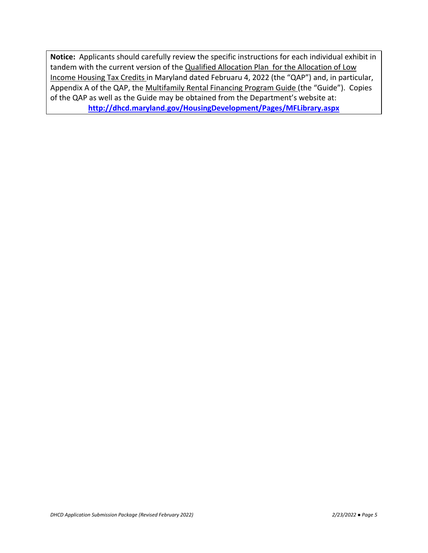**Notice:** Applicants should carefully review the specific instructions for each individual exhibit in tandem with the current version of the Qualified Allocation Plan for the Allocation of Low Income Housing Tax Credits in Maryland dated Februaru 4, 2022 (the "QAP") and, in particular, Appendix A of the QAP, the Multifamily Rental Financing Program Guide (the "Guide"). Copies of the QAP as well as the Guide may be obtained from the Department's website at: **<http://dhcd.maryland.gov/HousingDevelopment/Pages/MFLibrary.aspx>**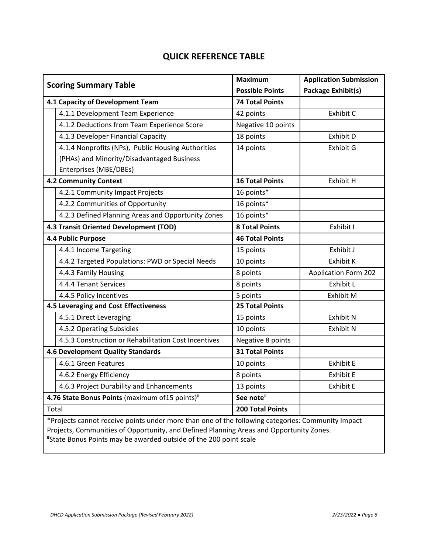# **QUICK REFERENCE TABLE**

|                                                                                                   | <b>Scoring Summary Table</b>                         | <b>Maximum</b>          | <b>Application Submission</b> |
|---------------------------------------------------------------------------------------------------|------------------------------------------------------|-------------------------|-------------------------------|
|                                                                                                   |                                                      | <b>Possible Points</b>  | <b>Package Exhibit(s)</b>     |
| 4.1 Capacity of Development Team                                                                  |                                                      | <b>74 Total Points</b>  |                               |
|                                                                                                   | 4.1.1 Development Team Experience                    | 42 points               | Exhibit C                     |
|                                                                                                   | 4.1.2 Deductions from Team Experience Score          | Negative 10 points      |                               |
|                                                                                                   | 4.1.3 Developer Financial Capacity                   | 18 points               | Exhibit D                     |
|                                                                                                   | 4.1.4 Nonprofits (NPs), Public Housing Authorities   | 14 points               | Exhibit G                     |
|                                                                                                   | (PHAs) and Minority/Disadvantaged Business           |                         |                               |
|                                                                                                   | Enterprises (MBE/DBEs)                               |                         |                               |
|                                                                                                   | <b>4.2 Community Context</b>                         | <b>16 Total Points</b>  | Exhibit H                     |
|                                                                                                   | 4.2.1 Community Impact Projects                      | 16 points*              |                               |
|                                                                                                   | 4.2.2 Communities of Opportunity                     | 16 points*              |                               |
|                                                                                                   | 4.2.3 Defined Planning Areas and Opportunity Zones   | 16 points*              |                               |
|                                                                                                   | 4.3 Transit Oriented Development (TOD)               | <b>8 Total Points</b>   | Exhibit I                     |
|                                                                                                   | 4.4 Public Purpose                                   | <b>46 Total Points</b>  |                               |
|                                                                                                   | 4.4.1 Income Targeting                               | 15 points               | Exhibit J                     |
|                                                                                                   | 4.4.2 Targeted Populations: PWD or Special Needs     | 10 points               | Exhibit K                     |
|                                                                                                   | 4.4.3 Family Housing                                 | 8 points                | <b>Application Form 202</b>   |
|                                                                                                   | 4.4.4 Tenant Services                                | 8 points                | <b>Exhibit L</b>              |
|                                                                                                   | 4.4.5 Policy Incentives                              | 5 points                | Exhibit M                     |
|                                                                                                   | 4.5 Leveraging and Cost Effectiveness                | <b>25 Total Points</b>  |                               |
|                                                                                                   | 4.5.1 Direct Leveraging                              | 15 points               | <b>Exhibit N</b>              |
|                                                                                                   | 4.5.2 Operating Subsidies                            | 10 points               | <b>Exhibit N</b>              |
|                                                                                                   | 4.5.3 Construction or Rehabilitation Cost Incentives | Negative 8 points       |                               |
|                                                                                                   | 4.6 Development Quality Standards                    | <b>31 Total Points</b>  |                               |
|                                                                                                   | 4.6.1 Green Features                                 | 10 points               | <b>Exhibit E</b>              |
|                                                                                                   | 4.6.2 Energy Efficiency                              | 8 points                | <b>Exhibit E</b>              |
|                                                                                                   | 4.6.3 Project Durability and Enhancements            | 13 points               | <b>Exhibit E</b>              |
|                                                                                                   | 4.76 State Bonus Points (maximum of 15 points)#      | See note#               |                               |
| Total                                                                                             |                                                      | <b>200 Total Points</b> |                               |
| *Projects cannot receive points under more than one of the following categories: Community Impact |                                                      |                         |                               |

Projects, Communities of Opportunity, and Defined Planning Areas and Opportunity Zones.

**#** State Bonus Points may be awarded outside of the 200 point scale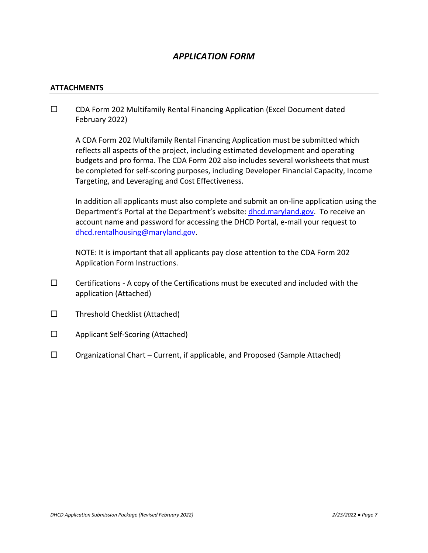# *APPLICATION FORM*

#### **ATTACHMENTS**

 $\square$  CDA Form 202 Multifamily Rental Financing Application (Excel Document dated February 2022)

A CDA Form 202 Multifamily Rental Financing Application must be submitted which reflects all aspects of the project, including estimated development and operating budgets and pro forma. The CDA Form 202 also includes several worksheets that must be completed for self-scoring purposes, including Developer Financial Capacity, Income Targeting, and Leveraging and Cost Effectiveness.

In addition all applicants must also complete and submit an on-line application using the Department's Portal at the Department's website: [dhcd.maryland.gov.](http://www.mdhousing.org/) To receive an account name and password for accessing the DHCD Portal, e-mail your request to [dhcd.rentalhousing@maryland.gov.](mailto:dhcd.rentalhousing@maryland.gov)

NOTE: It is important that all applicants pay close attention to the CDA Form 202 Application Form Instructions.

- $\square$  Certifications A copy of the Certifications must be executed and included with the application (Attached)
- $\square$  Threshold Checklist (Attached)
- $\Box$  Applicant Self-Scoring (Attached)
- $\square$  Organizational Chart Current, if applicable, and Proposed (Sample Attached)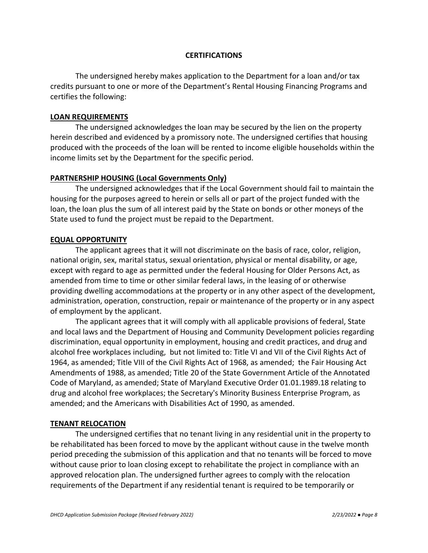#### **CERTIFICATIONS**

The undersigned hereby makes application to the Department for a loan and/or tax credits pursuant to one or more of the Department's Rental Housing Financing Programs and certifies the following:

#### **LOAN REQUIREMENTS**

The undersigned acknowledges the loan may be secured by the lien on the property herein described and evidenced by a promissory note. The undersigned certifies that housing produced with the proceeds of the loan will be rented to income eligible households within the income limits set by the Department for the specific period.

#### **PARTNERSHIP HOUSING (Local Governments Only)**

The undersigned acknowledges that if the Local Government should fail to maintain the housing for the purposes agreed to herein or sells all or part of the project funded with the loan, the loan plus the sum of all interest paid by the State on bonds or other moneys of the State used to fund the project must be repaid to the Department.

#### **EQUAL OPPORTUNITY**

The applicant agrees that it will not discriminate on the basis of race, color, religion, national origin, sex, marital status, sexual orientation, physical or mental disability, or age, except with regard to age as permitted under the federal Housing for Older Persons Act, as amended from time to time or other similar federal laws, in the leasing of or otherwise providing dwelling accommodations at the property or in any other aspect of the development, administration, operation, construction, repair or maintenance of the property or in any aspect of employment by the applicant.

The applicant agrees that it will comply with all applicable provisions of federal, State and local laws and the Department of Housing and Community Development policies regarding discrimination, equal opportunity in employment, housing and credit practices, and drug and alcohol free workplaces including, but not limited to: Title VI and VII of the Civil Rights Act of 1964, as amended; Title VIII of the Civil Rights Act of 1968, as amended; the Fair Housing Act Amendments of 1988, as amended; Title 20 of the State Government Article of the Annotated Code of Maryland, as amended; State of Maryland Executive Order 01.01.1989.18 relating to drug and alcohol free workplaces; the Secretary's Minority Business Enterprise Program, as amended; and the Americans with Disabilities Act of 1990, as amended.

#### **TENANT RELOCATION**

The undersigned certifies that no tenant living in any residential unit in the property to be rehabilitated has been forced to move by the applicant without cause in the twelve month period preceding the submission of this application and that no tenants will be forced to move without cause prior to loan closing except to rehabilitate the project in compliance with an approved relocation plan. The undersigned further agrees to comply with the relocation requirements of the Department if any residential tenant is required to be temporarily or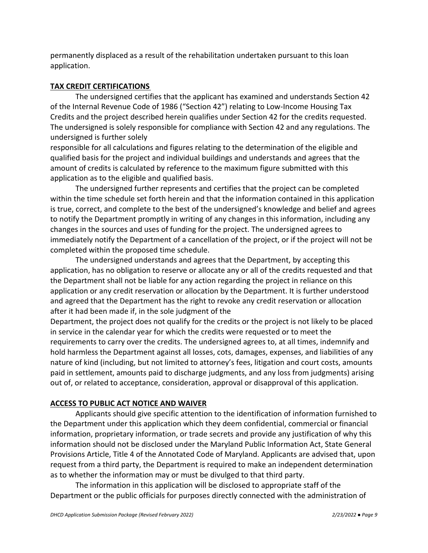permanently displaced as a result of the rehabilitation undertaken pursuant to this loan application.

### **TAX CREDIT CERTIFICATIONS**

The undersigned certifies that the applicant has examined and understands Section 42 of the Internal Revenue Code of 1986 ("Section 42") relating to Low-Income Housing Tax Credits and the project described herein qualifies under Section 42 for the credits requested. The undersigned is solely responsible for compliance with Section 42 and any regulations. The undersigned is further solely

responsible for all calculations and figures relating to the determination of the eligible and qualified basis for the project and individual buildings and understands and agrees that the amount of credits is calculated by reference to the maximum figure submitted with this application as to the eligible and qualified basis.

The undersigned further represents and certifies that the project can be completed within the time schedule set forth herein and that the information contained in this application is true, correct, and complete to the best of the undersigned's knowledge and belief and agrees to notify the Department promptly in writing of any changes in this information, including any changes in the sources and uses of funding for the project. The undersigned agrees to immediately notify the Department of a cancellation of the project, or if the project will not be completed within the proposed time schedule.

The undersigned understands and agrees that the Department, by accepting this application, has no obligation to reserve or allocate any or all of the credits requested and that the Department shall not be liable for any action regarding the project in reliance on this application or any credit reservation or allocation by the Department. It is further understood and agreed that the Department has the right to revoke any credit reservation or allocation after it had been made if, in the sole judgment of the

Department, the project does not qualify for the credits or the project is not likely to be placed in service in the calendar year for which the credits were requested or to meet the requirements to carry over the credits. The undersigned agrees to, at all times, indemnify and hold harmless the Department against all losses, cots, damages, expenses, and liabilities of any nature of kind (including, but not limited to attorney's fees, litigation and court costs, amounts paid in settlement, amounts paid to discharge judgments, and any loss from judgments) arising out of, or related to acceptance, consideration, approval or disapproval of this application.

## **ACCESS TO PUBLIC ACT NOTICE AND WAIVER**

Applicants should give specific attention to the identification of information furnished to the Department under this application which they deem confidential, commercial or financial information, proprietary information, or trade secrets and provide any justification of why this information should not be disclosed under the Maryland Public Information Act, State General Provisions Article, Title 4 of the Annotated Code of Maryland. Applicants are advised that, upon request from a third party, the Department is required to make an independent determination as to whether the information may or must be divulged to that third party.

The information in this application will be disclosed to appropriate staff of the Department or the public officials for purposes directly connected with the administration of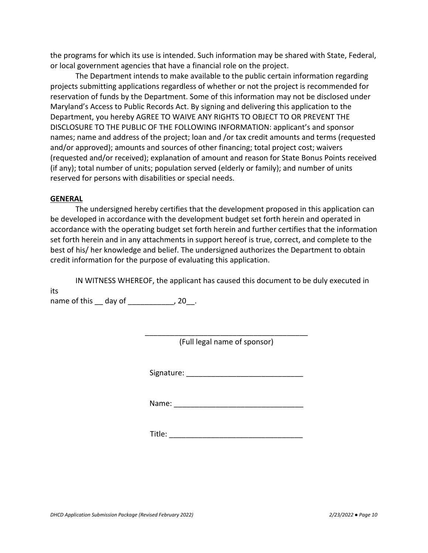the programs for which its use is intended. Such information may be shared with State, Federal, or local government agencies that have a financial role on the project.

The Department intends to make available to the public certain information regarding projects submitting applications regardless of whether or not the project is recommended for reservation of funds by the Department. Some of this information may not be disclosed under Maryland's Access to Public Records Act. By signing and delivering this application to the Department, you hereby AGREE TO WAIVE ANY RIGHTS TO OBJECT TO OR PREVENT THE DISCLOSURE TO THE PUBLIC OF THE FOLLOWING INFORMATION: applicant's and sponsor names; name and address of the project; loan and /or tax credit amounts and terms (requested and/or approved); amounts and sources of other financing; total project cost; waivers (requested and/or received); explanation of amount and reason for State Bonus Points received (if any); total number of units; population served (elderly or family); and number of units reserved for persons with disabilities or special needs.

#### **GENERAL**

The undersigned hereby certifies that the development proposed in this application can be developed in accordance with the development budget set forth herein and operated in accordance with the operating budget set forth herein and further certifies that the information set forth herein and in any attachments in support hereof is true, correct, and complete to the best of his/ her knowledge and belief. The undersigned authorizes the Department to obtain credit information for the purpose of evaluating this application.

IN WITNESS WHEREOF, the applicant has caused this document to be duly executed in its

name of this \_\_ day of \_\_\_\_\_\_\_\_\_\_\_\_, 20 .

\_\_\_\_\_\_\_\_\_\_\_\_\_\_\_\_\_\_\_\_\_\_\_\_\_\_\_\_\_\_\_\_\_\_\_\_\_\_\_ (Full legal name of sponsor)

Signature: **Example 2018** 

Name:

 $\blacksquare$  Title: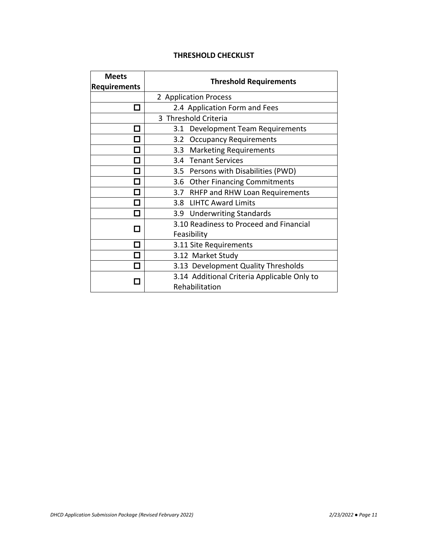# **THRESHOLD CHECKLIST**

| <b>Meets</b><br><b>Requirements</b> | <b>Threshold Requirements</b>                                                                        |  |  |
|-------------------------------------|------------------------------------------------------------------------------------------------------|--|--|
|                                     | 2 Application Process                                                                                |  |  |
|                                     | 2.4 Application Form and Fees                                                                        |  |  |
|                                     | 3 Threshold Criteria                                                                                 |  |  |
| $\overline{\phantom{a}}$            | Development Team Requirements<br>3.1                                                                 |  |  |
|                                     | 3.2 Occupancy Requirements                                                                           |  |  |
|                                     | 3.3 Marketing Requirements                                                                           |  |  |
| n.                                  | 3.4 Tenant Services                                                                                  |  |  |
| Л                                   | 3.5 Persons with Disabilities (PWD)                                                                  |  |  |
| ٦                                   | 3.6 Other Financing Commitments                                                                      |  |  |
| Π                                   | 3.7 RHFP and RHW Loan Requirements                                                                   |  |  |
| J.                                  | 3.8 LIHTC Award Limits                                                                               |  |  |
| ٦                                   | 3.9 Underwriting Standards                                                                           |  |  |
| J                                   | 3.10 Readiness to Proceed and Financial                                                              |  |  |
|                                     | Feasibility                                                                                          |  |  |
| J.                                  | 3.11 Site Requirements                                                                               |  |  |
|                                     | 3.12 Market Study                                                                                    |  |  |
| П                                   | 3.13 Development Quality Thresholds<br>3.14 Additional Criteria Applicable Only to<br>Rehabilitation |  |  |
|                                     |                                                                                                      |  |  |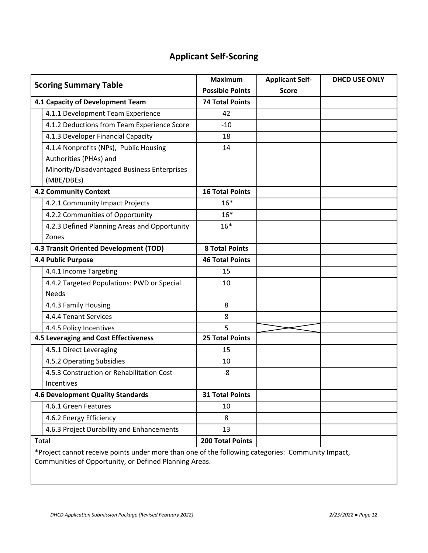# **Applicant Self-Scoring**

| <b>Scoring Summary Table</b>           |                                                                                                   | <b>Maximum</b><br><b>Possible Points</b> | <b>Applicant Self-</b><br><b>Score</b> | <b>DHCD USE ONLY</b> |
|----------------------------------------|---------------------------------------------------------------------------------------------------|------------------------------------------|----------------------------------------|----------------------|
| 4.1 Capacity of Development Team       |                                                                                                   | <b>74 Total Points</b>                   |                                        |                      |
|                                        | 4.1.1 Development Team Experience                                                                 | 42                                       |                                        |                      |
|                                        | 4.1.2 Deductions from Team Experience Score                                                       | $-10$                                    |                                        |                      |
|                                        | 4.1.3 Developer Financial Capacity                                                                | 18                                       |                                        |                      |
|                                        | 4.1.4 Nonprofits (NPs), Public Housing                                                            | 14                                       |                                        |                      |
|                                        | Authorities (PHAs) and                                                                            |                                          |                                        |                      |
|                                        | Minority/Disadvantaged Business Enterprises<br>(MBE/DBEs)                                         |                                          |                                        |                      |
|                                        | <b>4.2 Community Context</b>                                                                      | <b>16 Total Points</b>                   |                                        |                      |
|                                        | 4.2.1 Community Impact Projects                                                                   | $16*$                                    |                                        |                      |
|                                        | 4.2.2 Communities of Opportunity                                                                  | $16*$                                    |                                        |                      |
|                                        | 4.2.3 Defined Planning Areas and Opportunity                                                      | $16*$                                    |                                        |                      |
|                                        | Zones                                                                                             |                                          |                                        |                      |
| 4.3 Transit Oriented Development (TOD) |                                                                                                   | <b>8 Total Points</b>                    |                                        |                      |
|                                        | 4.4 Public Purpose                                                                                | <b>46 Total Points</b>                   |                                        |                      |
|                                        | 4.4.1 Income Targeting                                                                            | 15                                       |                                        |                      |
|                                        | 4.4.2 Targeted Populations: PWD or Special                                                        | 10                                       |                                        |                      |
|                                        | <b>Needs</b>                                                                                      |                                          |                                        |                      |
|                                        | 4.4.3 Family Housing                                                                              | 8                                        |                                        |                      |
|                                        | 4.4.4 Tenant Services                                                                             | 8                                        |                                        |                      |
|                                        | 4.4.5 Policy Incentives                                                                           | 5                                        |                                        |                      |
|                                        | 4.5 Leveraging and Cost Effectiveness                                                             | <b>25 Total Points</b>                   |                                        |                      |
|                                        | 4.5.1 Direct Leveraging                                                                           | 15                                       |                                        |                      |
|                                        | 4.5.2 Operating Subsidies                                                                         | 10                                       |                                        |                      |
|                                        | 4.5.3 Construction or Rehabilitation Cost                                                         | -8                                       |                                        |                      |
|                                        | Incentives                                                                                        |                                          |                                        |                      |
|                                        | <b>4.6 Development Quality Standards</b>                                                          | <b>31 Total Points</b>                   |                                        |                      |
|                                        | 4.6.1 Green Features                                                                              | 10                                       |                                        |                      |
|                                        | 4.6.2 Energy Efficiency                                                                           | 8                                        |                                        |                      |
|                                        | 4.6.3 Project Durability and Enhancements                                                         | 13                                       |                                        |                      |
|                                        | Total                                                                                             | <b>200 Total Points</b>                  |                                        |                      |
|                                        | *Project cannot receive points under more than one of the following categories: Community Impact, |                                          |                                        |                      |

Communities of Opportunity, or Defined Planning Areas.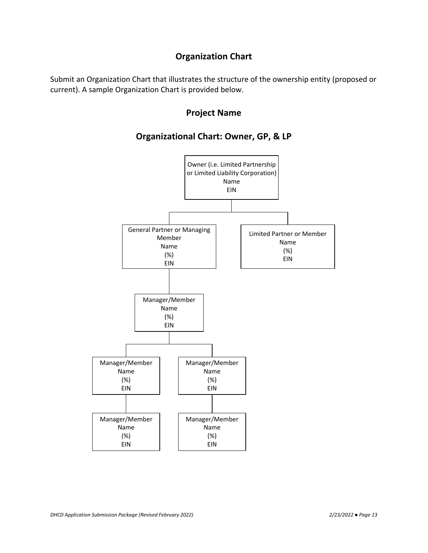# **Organization Chart**

Submit an Organization Chart that illustrates the structure of the ownership entity (proposed or current). A sample Organization Chart is provided below.

# **Project Name**

# **Organizational Chart: Owner, GP, & LP**

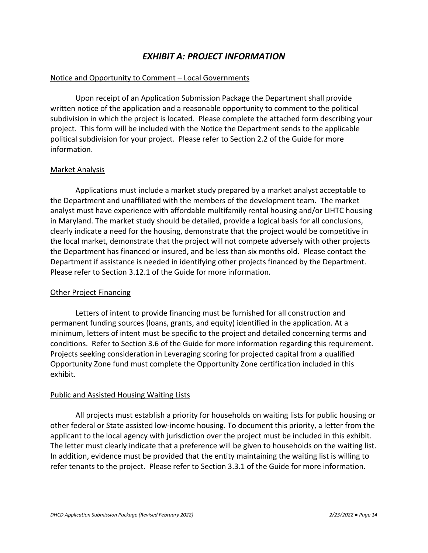# *EXHIBIT A: PROJECT INFORMATION*

#### Notice and Opportunity to Comment – Local Governments

Upon receipt of an Application Submission Package the Department shall provide written notice of the application and a reasonable opportunity to comment to the political subdivision in which the project is located. Please complete the attached form describing your project. This form will be included with the Notice the Department sends to the applicable political subdivision for your project. Please refer to Section 2.2 of the Guide for more information.

#### Market Analysis

Applications must include a market study prepared by a market analyst acceptable to the Department and unaffiliated with the members of the development team. The market analyst must have experience with affordable multifamily rental housing and/or LIHTC housing in Maryland. The market study should be detailed, provide a logical basis for all conclusions, clearly indicate a need for the housing, demonstrate that the project would be competitive in the local market, demonstrate that the project will not compete adversely with other projects the Department has financed or insured, and be less than six months old. Please contact the Department if assistance is needed in identifying other projects financed by the Department. Please refer to Section 3.12.1 of the Guide for more information.

#### Other Project Financing

Letters of intent to provide financing must be furnished for all construction and permanent funding sources (loans, grants, and equity) identified in the application. At a minimum, letters of intent must be specific to the project and detailed concerning terms and conditions. Refer to Section 3.6 of the Guide for more information regarding this requirement. Projects seeking consideration in Leveraging scoring for projected capital from a qualified Opportunity Zone fund must complete the Opportunity Zone certification included in this exhibit.

#### Public and Assisted Housing Waiting Lists

All projects must establish a priority for households on waiting lists for public housing or other federal or State assisted low-income housing. To document this priority, a letter from the applicant to the local agency with jurisdiction over the project must be included in this exhibit. The letter must clearly indicate that a preference will be given to households on the waiting list. In addition, evidence must be provided that the entity maintaining the waiting list is willing to refer tenants to the project. Please refer to Section 3.3.1 of the Guide for more information.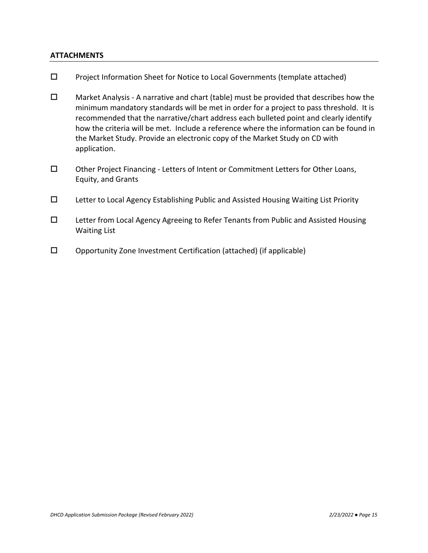#### **ATTACHMENTS**

- $\square$  Project Information Sheet for Notice to Local Governments (template attached)
- $\square$  Market Analysis A narrative and chart (table) must be provided that describes how the minimum mandatory standards will be met in order for a project to pass threshold. It is recommended that the narrative/chart address each bulleted point and clearly identify how the criteria will be met. Include a reference where the information can be found in the Market Study. Provide an electronic copy of the Market Study on CD with application.
- Other Project Financing Letters of Intent or Commitment Letters for Other Loans, Equity, and Grants
- $\square$  Letter to Local Agency Establishing Public and Assisted Housing Waiting List Priority
- Letter from Local Agency Agreeing to Refer Tenants from Public and Assisted Housing Waiting List
- $\square$  Opportunity Zone Investment Certification (attached) (if applicable)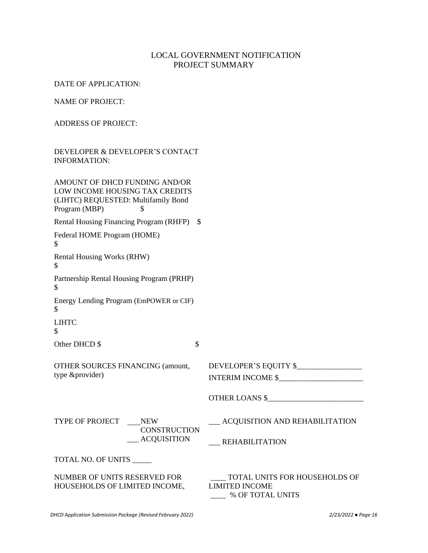# LOCAL GOVERNMENT NOTIFICATION PROJECT SUMMARY

DATE OF APPLICATION:

NAME OF PROJECT:

ADDRESS OF PROJECT:

#### DEVELOPER & DEVELOPER'S CONTACT INFORMATION:

| AMOUNT OF DHCD FUNDING AND/OR<br>LOW INCOME HOUSING TAX CREDITS<br>(LIHTC) REQUESTED: Multifamily Bond<br>Program (MBP)<br>\$. |                                                                            |
|--------------------------------------------------------------------------------------------------------------------------------|----------------------------------------------------------------------------|
| Rental Housing Financing Program (RHFP) \$                                                                                     |                                                                            |
| Federal HOME Program (HOME)<br>$\mathcal{S}$                                                                                   |                                                                            |
| Rental Housing Works (RHW)<br>\$                                                                                               |                                                                            |
| Partnership Rental Housing Program (PRHP)<br>$\mathcal{S}$                                                                     |                                                                            |
| Energy Lending Program (EmPOWER or CIF)<br>\$                                                                                  |                                                                            |
| <b>LIHTC</b><br>\$                                                                                                             |                                                                            |
| \$<br>Other DHCD \$                                                                                                            |                                                                            |
| <b>OTHER SOURCES FINANCING (amount,</b><br>type &provider)                                                                     | DEVELOPER'S EQUITY \$<br>INTERIM INCOME \$                                 |
|                                                                                                                                | OTHER LOANS \$                                                             |
| TYPE OF PROJECT NEW<br><b>CONSTRUCTION</b><br>__ ACQUISITION                                                                   | __ ACQUISITION AND REHABILITATION<br>REHABILITATION                        |
| TOTAL NO. OF UNITS                                                                                                             |                                                                            |
| NUMBER OF UNITS RESERVED FOR<br>HOUSEHOLDS OF LIMITED INCOME,                                                                  | TOTAL UNITS FOR HOUSEHOLDS OF<br><b>LIMITED INCOME</b><br>% OF TOTAL UNITS |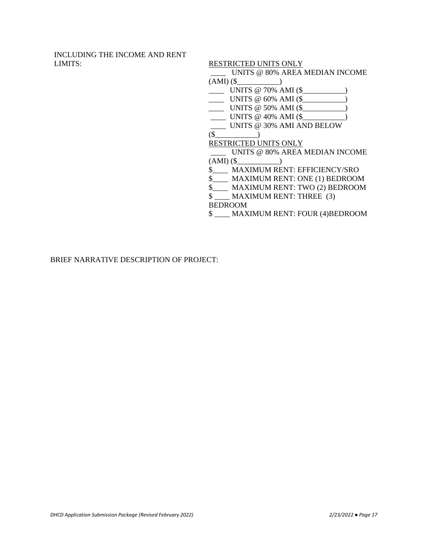INCLUDING THE INCOME AND RENT LIMITS: RESTRICTED UNITS ONLY

\_\_\_\_ UNITS @ 80% AREA MEDIAN INCOME

(AMI) (\$\_\_\_\_\_\_\_\_\_\_\_)

\_\_\_\_ UNITS @ 70% AMI (\$\_\_\_\_\_\_\_\_\_\_\_)

\_\_\_\_ UNITS @ 60% AMI (\$\_\_\_\_\_\_\_\_\_\_\_)

\_\_\_\_ UNITS @ 50% AMI (\$\_\_\_\_\_\_\_\_\_\_\_)  $\frac{\sqrt{3}}{2}$  UNITS @ 40% AMI (\$

\_\_\_\_ UNITS @ 30% AMI AND BELOW

(\$\_\_\_\_\_\_\_\_\_\_\_)

RESTRICTED UNITS ONLY

\_\_\_\_ UNITS @ 80% AREA MEDIAN INCOME (AMI) (\$\_\_\_\_\_\_\_\_\_\_\_)

\$\_\_\_\_ MAXIMUM RENT: EFFICIENCY/SRO

\$\_\_\_\_ MAXIMUM RENT: ONE (1) BEDROOM

\$\_\_\_\_ MAXIMUM RENT: TWO (2) BEDROOM

\$ \_\_\_\_ MAXIMUM RENT: THREE (3)

BEDROOM

\$ \_\_\_\_ MAXIMUM RENT: FOUR (4)BEDROOM

BRIEF NARRATIVE DESCRIPTION OF PROJECT: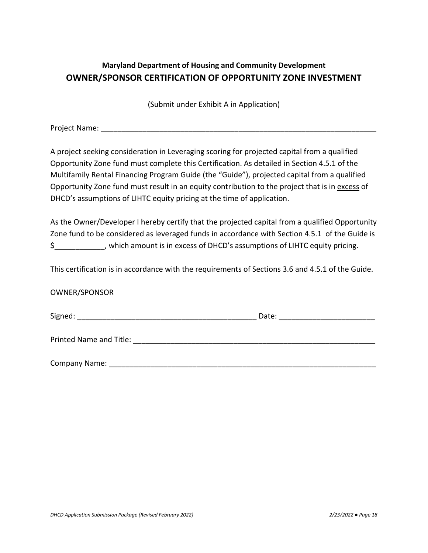# **Maryland Department of Housing and Community Development OWNER/SPONSOR CERTIFICATION OF OPPORTUNITY ZONE INVESTMENT**

(Submit under Exhibit A in Application)

Project Name: **Example 20** 

A project seeking consideration in Leveraging scoring for projected capital from a qualified Opportunity Zone fund must complete this Certification. As detailed in Section 4.5.1 of the Multifamily Rental Financing Program Guide (the "Guide"), projected capital from a qualified Opportunity Zone fund must result in an equity contribution to the project that is in excess of DHCD's assumptions of LIHTC equity pricing at the time of application.

As the Owner/Developer I hereby certify that the projected capital from a qualified Opportunity Zone fund to be considered as leveraged funds in accordance with Section 4.5.1 of the Guide is \$\_\_\_\_\_\_\_\_\_\_\_\_, which amount is in excess of DHCD's assumptions of LIHTC equity pricing.

This certification is in accordance with the requirements of Sections 3.6 and 4.5.1 of the Guide.

#### OWNER/SPONSOR

| Signed:                 | Date: |  |
|-------------------------|-------|--|
|                         |       |  |
| Printed Name and Title: |       |  |
|                         |       |  |
| Company Name:           |       |  |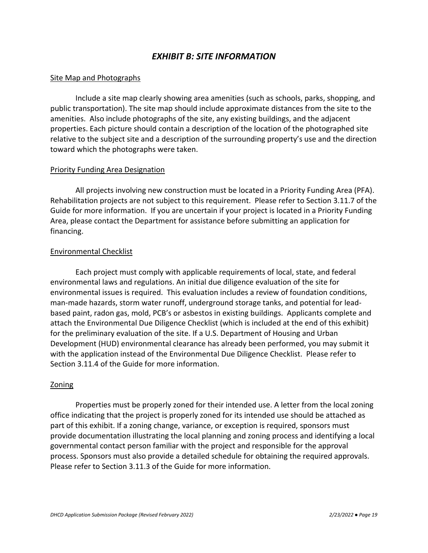# *EXHIBIT B: SITE INFORMATION*

#### Site Map and Photographs

Include a site map clearly showing area amenities (such as schools, parks, shopping, and public transportation). The site map should include approximate distances from the site to the amenities. Also include photographs of the site, any existing buildings, and the adjacent properties. Each picture should contain a description of the location of the photographed site relative to the subject site and a description of the surrounding property's use and the direction toward which the photographs were taken.

#### Priority Funding Area Designation

All projects involving new construction must be located in a Priority Funding Area (PFA). Rehabilitation projects are not subject to this requirement. Please refer to Section 3.11.7 of the Guide for more information. If you are uncertain if your project is located in a Priority Funding Area, please contact the Department for assistance before submitting an application for financing.

#### Environmental Checklist

Each project must comply with applicable requirements of local, state, and federal environmental laws and regulations. An initial due diligence evaluation of the site for environmental issues is required. This evaluation includes a review of foundation conditions, man-made hazards, storm water runoff, underground storage tanks, and potential for leadbased paint, radon gas, mold, PCB's or asbestos in existing buildings. Applicants complete and attach the Environmental Due Diligence Checklist (which is included at the end of this exhibit) for the preliminary evaluation of the site. If a U.S. Department of Housing and Urban Development (HUD) environmental clearance has already been performed, you may submit it with the application instead of the Environmental Due Diligence Checklist. Please refer to Section 3.11.4 of the Guide for more information.

#### Zoning

Properties must be properly zoned for their intended use. A letter from the local zoning office indicating that the project is properly zoned for its intended use should be attached as part of this exhibit. If a zoning change, variance, or exception is required, sponsors must provide documentation illustrating the local planning and zoning process and identifying a local governmental contact person familiar with the project and responsible for the approval process. Sponsors must also provide a detailed schedule for obtaining the required approvals. Please refer to Section 3.11.3 of the Guide for more information.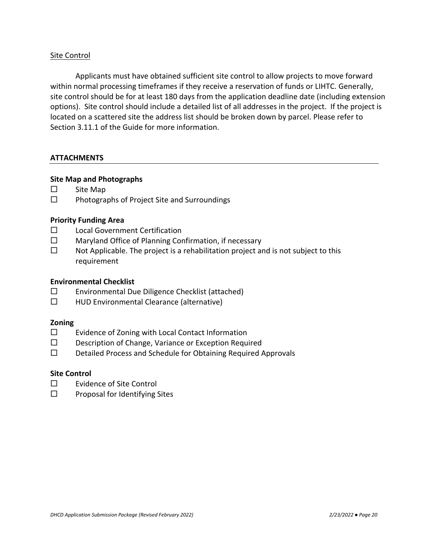#### Site Control

Applicants must have obtained sufficient site control to allow projects to move forward within normal processing timeframes if they receive a reservation of funds or LIHTC. Generally, site control should be for at least 180 days from the application deadline date (including extension options). Site control should include a detailed list of all addresses in the project. If the project is located on a scattered site the address list should be broken down by parcel. Please refer to Section 3.11.1 of the Guide for more information.

#### **ATTACHMENTS**

#### **Site Map and Photographs**

- □ Site Map
- $\square$  Photographs of Project Site and Surroundings

#### **Priority Funding Area**

- □ Local Government Certification
- $\square$  Maryland Office of Planning Confirmation, if necessary
- $\square$  Not Applicable. The project is a rehabilitation project and is not subject to this requirement

#### **Environmental Checklist**

- $\square$  Environmental Due Diligence Checklist (attached)
- □ HUD Environmental Clearance (alternative)

#### **Zoning**

- $\square$  Evidence of Zoning with Local Contact Information
- D Description of Change, Variance or Exception Required
- D Detailed Process and Schedule for Obtaining Required Approvals

#### **Site Control**

- $\square$  Evidence of Site Control
- $\square$  Proposal for Identifying Sites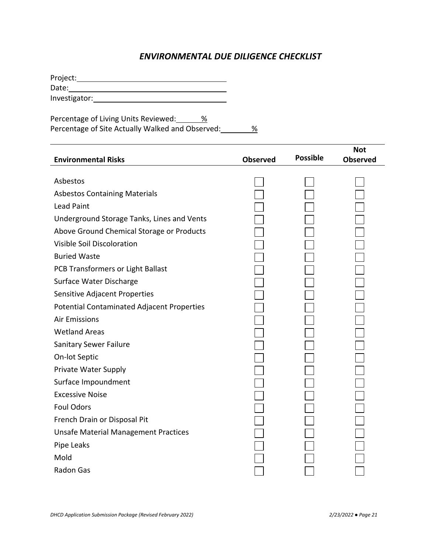# *ENVIRONMENTAL DUE DILIGENCE CHECKLIST*

Project: Date: Investigator:

Percentage of Living Units Reviewed: 28 Percentage of Site Actually Walked and Observed: 38

| <b>Environmental Risks</b>                        | <b>Observed</b> | <b>Possible</b> | <b>Not</b><br><b>Observed</b> |
|---------------------------------------------------|-----------------|-----------------|-------------------------------|
|                                                   |                 |                 |                               |
| Asbestos                                          |                 |                 |                               |
| <b>Asbestos Containing Materials</b>              |                 |                 |                               |
| <b>Lead Paint</b>                                 |                 |                 |                               |
| Underground Storage Tanks, Lines and Vents        |                 |                 |                               |
| Above Ground Chemical Storage or Products         |                 |                 |                               |
| Visible Soil Discoloration                        |                 |                 |                               |
| <b>Buried Waste</b>                               |                 |                 |                               |
| PCB Transformers or Light Ballast                 |                 |                 |                               |
| Surface Water Discharge                           |                 |                 |                               |
| Sensitive Adjacent Properties                     |                 |                 |                               |
| <b>Potential Contaminated Adjacent Properties</b> |                 |                 |                               |
| <b>Air Emissions</b>                              |                 |                 |                               |
| <b>Wetland Areas</b>                              |                 |                 |                               |
| <b>Sanitary Sewer Failure</b>                     |                 |                 |                               |
| On-lot Septic                                     |                 |                 |                               |
| Private Water Supply                              |                 |                 |                               |
| Surface Impoundment                               |                 |                 |                               |
| <b>Excessive Noise</b>                            |                 |                 |                               |
| <b>Foul Odors</b>                                 |                 |                 |                               |
| French Drain or Disposal Pit                      |                 |                 |                               |
| <b>Unsafe Material Management Practices</b>       |                 |                 |                               |
| Pipe Leaks                                        |                 |                 |                               |
| Mold                                              |                 |                 |                               |
| Radon Gas                                         |                 |                 |                               |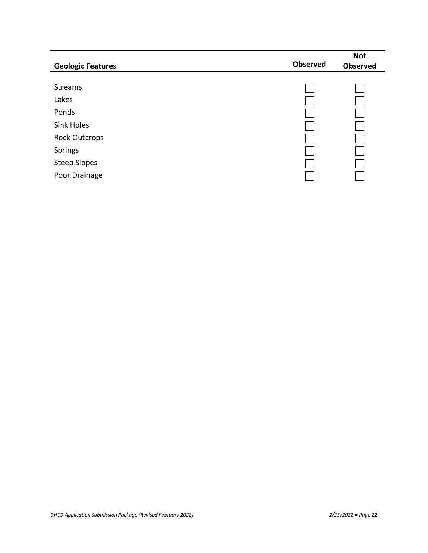| <b>Geologic Features</b> | Observed | <b>Not</b><br><b>Observed</b> |
|--------------------------|----------|-------------------------------|
| <b>Streams</b>           |          |                               |
| Lakes                    |          |                               |
| Ponds                    |          |                               |
| <b>Sink Holes</b>        |          |                               |
| <b>Rock Outcrops</b>     |          |                               |
| Springs                  |          |                               |
| <b>Steep Slopes</b>      |          |                               |
| Poor Drainage            |          |                               |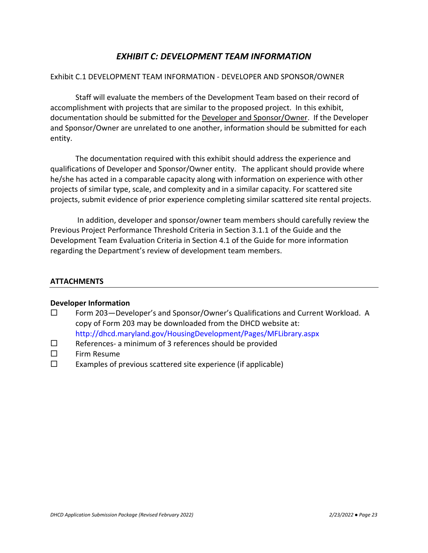# *EXHIBIT C: DEVELOPMENT TEAM INFORMATION*

#### Exhibit C.1 DEVELOPMENT TEAM INFORMATION - DEVELOPER AND SPONSOR/OWNER

Staff will evaluate the members of the Development Team based on their record of accomplishment with projects that are similar to the proposed project. In this exhibit, documentation should be submitted for the Developer and Sponsor/Owner. If the Developer and Sponsor/Owner are unrelated to one another, information should be submitted for each entity.

The documentation required with this exhibit should address the experience and qualifications of Developer and Sponsor/Owner entity. The applicant should provide where he/she has acted in a comparable capacity along with information on experience with other projects of similar type, scale, and complexity and in a similar capacity. For scattered site projects, submit evidence of prior experience completing similar scattered site rental projects.

In addition, developer and sponsor/owner team members should carefully review the Previous Project Performance Threshold Criteria in Section 3.1.1 of the Guide and the Development Team Evaluation Criteria in Section 4.1 of the Guide for more information regarding the Department's review of development team members.

#### **ATTACHMENTS**

#### **Developer Information**

- $\square$  Form 203 Developer's and Sponsor/Owner's Qualifications and Current Workload. A copy of Form 203 may be downloaded from the DHCD website at: <http://dhcd.maryland.gov/HousingDevelopment/Pages/MFLibrary.aspx>
- $\square$  References- a minimum of 3 references should be provided
- $\square$  Firm Resume
- $\square$  Examples of previous scattered site experience (if applicable)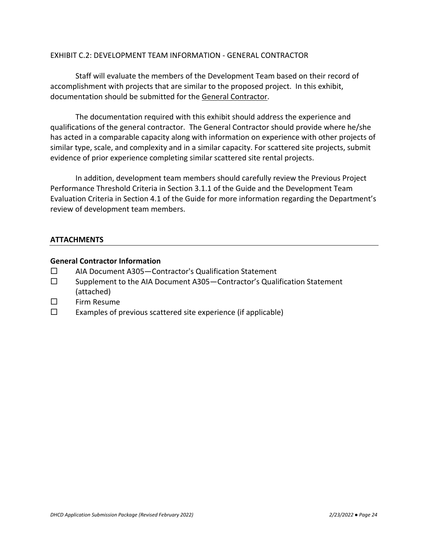#### EXHIBIT C.2: DEVELOPMENT TEAM INFORMATION - GENERAL CONTRACTOR

Staff will evaluate the members of the Development Team based on their record of accomplishment with projects that are similar to the proposed project. In this exhibit, documentation should be submitted for the General Contractor.

The documentation required with this exhibit should address the experience and qualifications of the general contractor. The General Contractor should provide where he/she has acted in a comparable capacity along with information on experience with other projects of similar type, scale, and complexity and in a similar capacity. For scattered site projects, submit evidence of prior experience completing similar scattered site rental projects.

In addition, development team members should carefully review the Previous Project Performance Threshold Criteria in Section 3.1.1 of the Guide and the Development Team Evaluation Criteria in Section 4.1 of the Guide for more information regarding the Department's review of development team members.

#### **ATTACHMENTS**

#### **General Contractor Information**

- AIA Document A305—Contractor's Qualification Statement
- $\square$  Supplement to the AIA Document A305 Contractor's Qualification Statement (attached)
- $\square$  Firm Resume
- $\square$  Examples of previous scattered site experience (if applicable)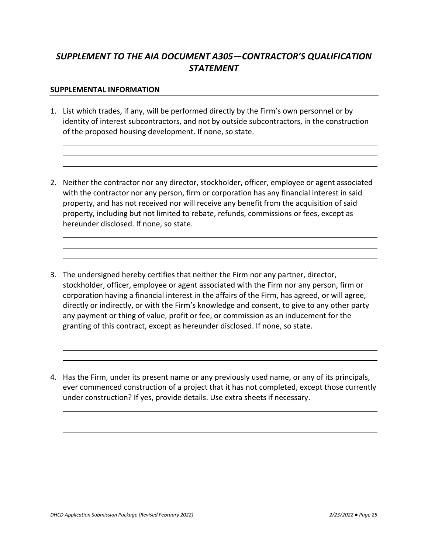# *SUPPLEMENT TO THE AIA DOCUMENT A305—CONTRACTOR'S QUALIFICATION STATEMENT*

#### **SUPPLEMENTAL INFORMATION**

- 1. List which trades, if any, will be performed directly by the Firm's own personnel or by identity of interest subcontractors, and not by outside subcontractors, in the construction of the proposed housing development. If none, so state.
- 2. Neither the contractor nor any director, stockholder, officer, employee or agent associated with the contractor nor any person, firm or corporation has any financial interest in said property, and has not received nor will receive any benefit from the acquisition of said property, including but not limited to rebate, refunds, commissions or fees, except as hereunder disclosed. If none, so state.
- 3. The undersigned hereby certifies that neither the Firm nor any partner, director, stockholder, officer, employee or agent associated with the Firm nor any person, firm or corporation having a financial interest in the affairs of the Firm, has agreed, or will agree, directly or indirectly, or with the Firm's knowledge and consent, to give to any other party any payment or thing of value, profit or fee, or commission as an inducement for the granting of this contract, except as hereunder disclosed. If none, so state.
- 4. Has the Firm, under its present name or any previously used name, or any of its principals, ever commenced construction of a project that it has not completed, except those currently under construction? If yes, provide details. Use extra sheets if necessary.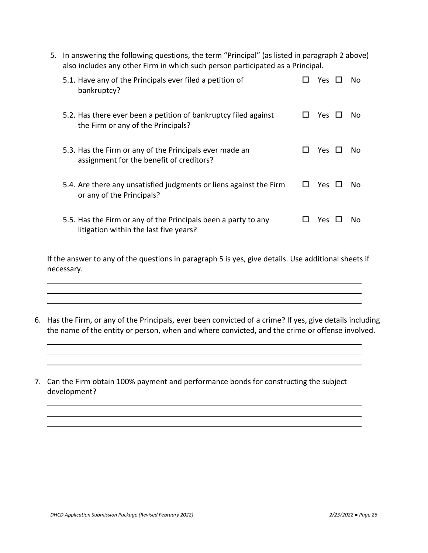5. In answering the following questions, the term "Principal" (as listed in paragraph 2 above) also includes any other Firm in which such person participated as a Principal.

| 5.1. Have any of the Principals ever filed a petition of<br>bankruptcy?                                  |              | Yes.  | No. |
|----------------------------------------------------------------------------------------------------------|--------------|-------|-----|
| 5.2. Has there ever been a petition of bankruptcy filed against<br>the Firm or any of the Principals?    |              | Yes   | No. |
| 5.3. Has the Firm or any of the Principals ever made an<br>assignment for the benefit of creditors?      | $\mathbf{L}$ | Yes ⊔ | Nο  |
| 5.4. Are there any unsatisfied judgments or liens against the Firm<br>or any of the Principals?          | ப            | Yes   | No. |
| 5.5. Has the Firm or any of the Principals been a party to any<br>litigation within the last five years? |              | Yes.  | Nο  |

If the answer to any of the questions in paragraph 5 is yes, give details. Use additional sheets if necessary.

- 6. Has the Firm, or any of the Principals, ever been convicted of a crime? If yes, give details including the name of the entity or person, when and where convicted, and the crime or offense involved.
- 7. Can the Firm obtain 100% payment and performance bonds for constructing the subject development?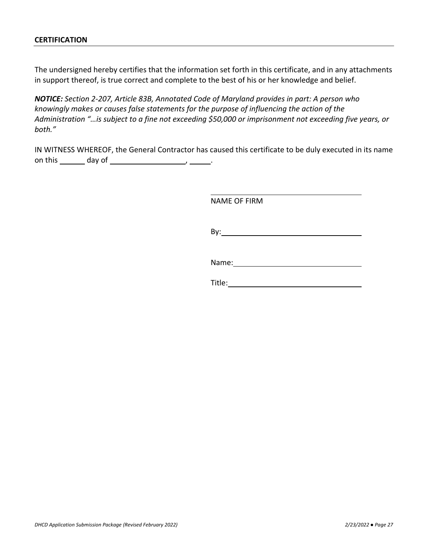#### **CERTIFICATION**

The undersigned hereby certifies that the information set forth in this certificate, and in any attachments in support thereof, is true correct and complete to the best of his or her knowledge and belief.

*NOTICE: Section 2-207, Article 83B, Annotated Code of Maryland provides in part: A person who knowingly makes or causes false statements for the purpose of influencing the action of the Administration "…is subject to a fine not exceeding \$50,000 or imprisonment not exceeding five years, or both."*

IN WITNESS WHEREOF, the General Contractor has caused this certificate to be duly executed in its name on this  $\_\_\_$  day of  $\_\_\_\_\_\_\_\_\_\_\_\_\_\_\_\_\_\_\_\_\_\_\_\_\_\_\_\_$ 

NAME OF FIRM

By:

Name:

Title: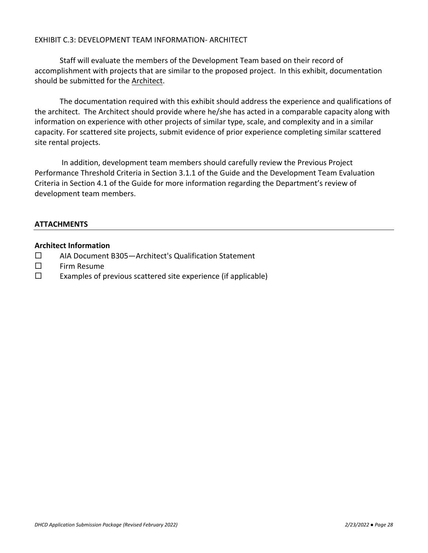#### EXHIBIT C.3: DEVELOPMENT TEAM INFORMATION- ARCHITECT

Staff will evaluate the members of the Development Team based on their record of accomplishment with projects that are similar to the proposed project. In this exhibit, documentation should be submitted for the Architect.

The documentation required with this exhibit should address the experience and qualifications of the architect. The Architect should provide where he/she has acted in a comparable capacity along with information on experience with other projects of similar type, scale, and complexity and in a similar capacity. For scattered site projects, submit evidence of prior experience completing similar scattered site rental projects.

In addition, development team members should carefully review the Previous Project Performance Threshold Criteria in Section 3.1.1 of the Guide and the Development Team Evaluation Criteria in Section 4.1 of the Guide for more information regarding the Department's review of development team members.

#### **ATTACHMENTS**

#### **Architect Information**

- AIA Document B305—Architect's Qualification Statement
- $\square$  Firm Resume
- $\square$  Examples of previous scattered site experience (if applicable)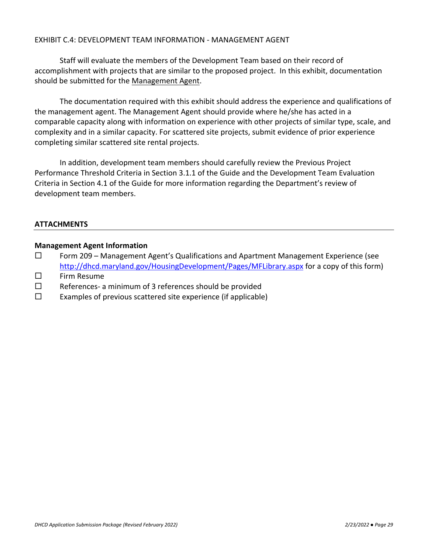#### EXHIBIT C.4: DEVELOPMENT TEAM INFORMATION - MANAGEMENT AGENT

Staff will evaluate the members of the Development Team based on their record of accomplishment with projects that are similar to the proposed project. In this exhibit, documentation should be submitted for the Management Agent.

The documentation required with this exhibit should address the experience and qualifications of the management agent. The Management Agent should provide where he/she has acted in a comparable capacity along with information on experience with other projects of similar type, scale, and complexity and in a similar capacity. For scattered site projects, submit evidence of prior experience completing similar scattered site rental projects.

In addition, development team members should carefully review the Previous Project Performance Threshold Criteria in Section 3.1.1 of the Guide and the Development Team Evaluation Criteria in Section 4.1 of the Guide for more information regarding the Department's review of development team members.

#### **ATTACHMENTS**

#### **Management Agent Information**

- $\Box$  Form 209 Management Agent's Qualifications and Apartment Management Experience (see [http://dhcd.maryland.gov/HousingDevelopment/Pages/MFLibrary.aspx](http://dhcd.maryland.gov/HousingDevelopment/Pages/MFLibrary.aspx#appdocs) for a copy of this form)
- $\square$  Firm Resume
- $\square$  References- a minimum of 3 references should be provided
- $\square$  Examples of previous scattered site experience (if applicable)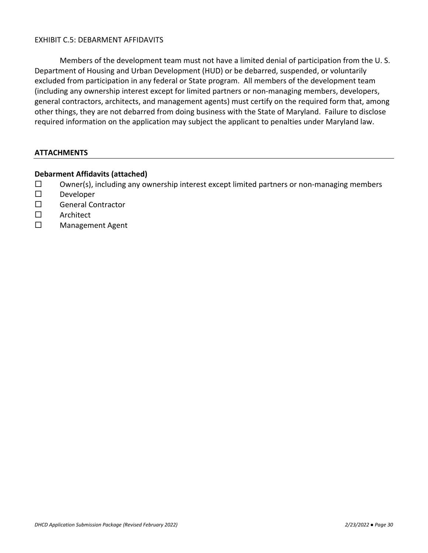#### EXHIBIT C.5: DEBARMENT AFFIDAVITS

Members of the development team must not have a limited denial of participation from the U. S. Department of Housing and Urban Development (HUD) or be debarred, suspended, or voluntarily excluded from participation in any federal or State program. All members of the development team (including any ownership interest except for limited partners or non-managing members, developers, general contractors, architects, and management agents) must certify on the required form that, among other things, they are not debarred from doing business with the State of Maryland. Failure to disclose required information on the application may subject the applicant to penalties under Maryland law.

#### **ATTACHMENTS**

#### **Debarment Affidavits (attached)**

- $\square$  Owner(s), including any ownership interest except limited partners or non-managing members
- $\square$  Developer
- □ General Contractor
- □ Architect
- □ Management Agent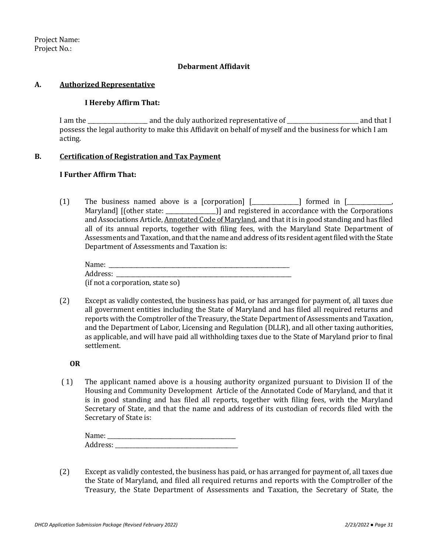Project Name: Project No.:

#### **Debarment Affidavit**

#### **A. Authorized Representative**

#### **I Hereby Affirm That:**

I am the \_\_\_\_\_\_\_\_\_\_\_\_\_\_\_\_\_\_\_\_\_ and the duly authorized representative of \_\_\_\_\_\_\_\_\_\_\_\_\_\_\_\_\_\_\_\_\_\_\_\_\_ and that I possess the legal authority to make this Affidavit on behalf of myself and the business for which I am acting.

#### **B. Certification of Registration and Tax Payment**

#### **I Further Affirm That:**

(1) The business named above is a [corporation]  $[\_\_\_\_\_\_$  formed in  $[\_\_\_\_\_\_$ Maryland] [(other state: \_\_\_\_\_\_\_\_\_\_\_\_\_\_\_\_\_\_)] and registered in accordance with the Corporations and Associations Article, Annotated Code of Maryland, and that it is in good standing and has filed all of its annual reports, together with filing fees, with the Maryland State Department of Assessments and Taxation, and that the name and address of its resident agent filed with the State Department of Assessments and Taxation is:

| Name:    |                                  |  |
|----------|----------------------------------|--|
| Address: |                                  |  |
|          | (if not a corporation, state so) |  |

(2) Except as validly contested, the business has paid, or has arranged for payment of, all taxes due all government entities including the State of Maryland and has filed all required returns and reports with the Comptroller of the Treasury, the State Department of Assessments and Taxation, and the Department of Labor, Licensing and Regulation (DLLR), and all other taxing authorities, as applicable, and will have paid all withholding taxes due to the State of Maryland prior to final settlement.

#### **OR**

( 1) The applicant named above is a housing authority organized pursuant to Division II of the Housing and Community Development Article of the Annotated Code of Maryland, and that it is in good standing and has filed all reports, together with filing fees, with the Maryland Secretary of State, and that the name and address of its custodian of records filed with the Secretary of State is:

| Name.    |  |
|----------|--|
| eddress. |  |

(2) Except as validly contested, the business has paid, or has arranged for payment of, all taxes due the State of Maryland, and filed all required returns and reports with the Comptroller of the Treasury, the State Department of Assessments and Taxation, the Secretary of State, the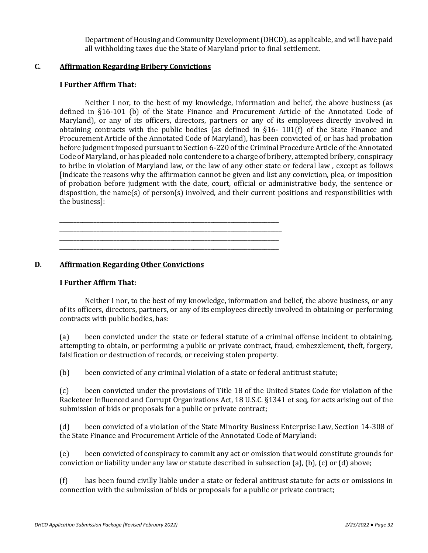Department of Housing and Community Development (DHCD), as applicable, and will have paid all withholding taxes due the State of Maryland prior to final settlement.

#### **C. Affirmation Regarding Bribery Convictions**

#### **I Further Affirm That:**

Neither I nor, to the best of my knowledge, information and belief, the above business (as defined in §16-101 (b) of the State Finance and Procurement Article of the Annotated Code of Maryland), or any of its officers, directors, partners or any of its employees directly involved in obtaining contracts with the public bodies (as defined in §16- 101(f) of the State Finance and Procurement Article of the Annotated Code of Maryland), has been convicted of, or has had probation before judgment imposed pursuant to Section 6-220 of the Criminal Procedure Article of the Annotated Code of Maryland, or has pleaded nolo contendere to a charge of bribery, attempted bribery, conspiracy to bribe in violation of Maryland law, or the law of any other state or federal law , except as follows [indicate the reasons why the affirmation cannot be given and list any conviction, plea, or imposition of probation before judgment with the date, court, official or administrative body, the sentence or disposition, the name(s) of person(s) involved, and their current positions and responsibilities with the business]:

\_\_\_\_\_\_\_\_\_\_\_\_\_\_\_\_\_\_\_\_\_\_\_\_\_\_\_\_\_\_\_\_\_\_\_\_\_\_\_\_\_\_\_\_\_\_\_\_\_\_\_\_\_\_\_\_\_\_\_\_\_\_\_\_\_\_\_\_\_\_\_\_\_\_\_\_\_\_ \_\_\_\_\_\_\_\_\_\_\_\_\_\_\_\_\_\_\_\_\_\_\_\_\_\_\_\_\_\_\_\_\_\_\_\_\_\_\_\_\_\_\_\_\_\_\_\_\_\_\_\_\_\_\_\_\_\_\_\_\_\_\_\_\_\_\_\_\_\_\_\_\_\_\_\_\_ \_\_\_\_\_\_\_\_\_\_\_\_\_\_\_\_\_\_\_\_\_\_\_\_\_\_\_\_\_\_\_\_\_\_\_\_\_\_\_\_\_\_\_\_\_\_\_\_\_\_\_\_\_\_\_\_\_\_\_\_\_\_\_\_\_\_\_\_\_\_\_\_\_\_\_\_\_

\_\_\_\_\_\_\_\_\_\_\_\_\_\_\_\_\_\_\_\_\_\_\_\_\_\_\_\_\_\_\_\_\_\_\_\_\_\_\_\_\_\_\_\_\_\_\_\_\_\_\_\_\_\_\_\_\_\_\_\_\_\_\_\_\_\_\_\_\_\_\_\_\_\_\_\_\_

#### **D. Affirmation Regarding Other Convictions**

#### **I Further Affirm That:**

Neither I nor, to the best of my knowledge, information and belief, the above business, or any of its officers, directors, partners, or any of its employees directly involved in obtaining or performing contracts with public bodies, has:

(a) been convicted under the state or federal statute of a criminal offense incident to obtaining, attempting to obtain, or performing a public or private contract, fraud, embezzlement, theft, forgery, falsification or destruction of records, or receiving stolen property.

(b) been convicted of any criminal violation of a state or federal antitrust statute;

(c) been convicted under the provisions of Title 18 of the United States Code for violation of the Racketeer Influenced and Corrupt Organizations Act, 18 U.S.C. §1341 et seq, for acts arising out of the submission of bids or proposals for a public or private contract;

(d) been convicted of a violation of the State Minority Business Enterprise Law, Section 14-308 of the State Finance and Procurement Article of the Annotated Code of Maryland:

(e) been convicted of conspiracy to commit any act or omission that would constitute grounds for conviction or liability under any law or statute described in subsection (a), (b), (c) or (d) above;

(f) has been found civilly liable under a state or federal antitrust statute for acts or omissions in connection with the submission of bids or proposals for a public or private contract;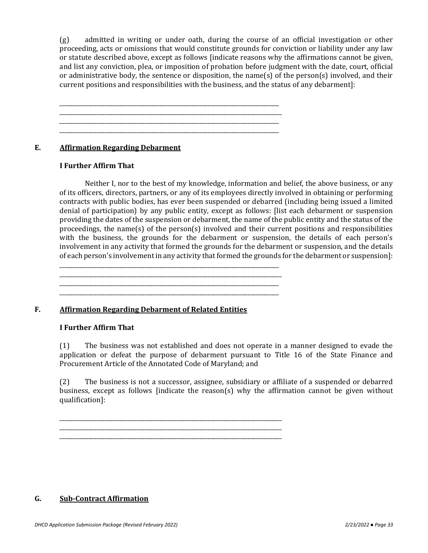(g) admitted in writing or under oath, during the course of an official investigation or other proceeding, acts or omissions that would constitute grounds for conviction or liability under any law or statute described above, except as follows [indicate reasons why the affirmations cannot be given, and list any conviction, plea, or imposition of probation before judgment with the date, court, official or administrative body, the sentence or disposition, the name(s) of the person(s) involved, and their current positions and responsibilities with the business, and the status of any debarment]:

**E. Affirmation Regarding Debarment** 

#### **I Further Affirm That**

Neither I, nor to the best of my knowledge, information and belief, the above business, or any of its officers, directors, partners, or any of its employees directly involved in obtaining or performing contracts with public bodies, has ever been suspended or debarred (including being issued a limited denial of participation) by any public entity, except as follows: [list each debarment or suspension providing the dates of the suspension or debarment, the name of the public entity and the status of the proceedings, the name(s) of the person(s) involved and their current positions and responsibilities with the business, the grounds for the debarment or suspension, the details of each person's involvement in any activity that formed the grounds for the debarment or suspension, and the details of each person's involvement in any activity that formed the grounds for the debarment or suspension]:

\_\_\_\_\_\_\_\_\_\_\_\_\_\_\_\_\_\_\_\_\_\_\_\_\_\_\_\_\_\_\_\_\_\_\_\_\_\_\_\_\_\_\_\_\_\_\_\_\_\_\_\_\_\_\_\_\_\_\_\_\_\_\_\_\_\_\_\_\_\_\_\_\_\_\_\_\_

\_\_\_\_\_\_\_\_\_\_\_\_\_\_\_\_\_\_\_\_\_\_\_\_\_\_\_\_\_\_\_\_\_\_\_\_\_\_\_\_\_\_\_\_\_\_\_\_\_\_\_\_\_\_\_\_\_\_\_\_\_\_\_\_\_\_\_\_\_\_\_\_\_\_\_\_\_ \_\_\_\_\_\_\_\_\_\_\_\_\_\_\_\_\_\_\_\_\_\_\_\_\_\_\_\_\_\_\_\_\_\_\_\_\_\_\_\_\_\_\_\_\_\_\_\_\_\_\_\_\_\_\_\_\_\_\_\_\_\_\_\_\_\_\_\_\_\_\_\_\_\_\_\_\_\_

\_\_\_\_\_\_\_\_\_\_\_\_\_\_\_\_\_\_\_\_\_\_\_\_\_\_\_\_\_\_\_\_\_\_\_\_\_\_\_\_\_\_\_\_\_\_\_\_\_\_\_\_\_\_\_\_\_\_\_\_\_\_\_\_\_\_\_\_\_\_\_\_\_\_\_\_\_\_

\_\_\_\_\_\_\_\_\_\_\_\_\_\_\_\_\_\_\_\_\_\_\_\_\_\_\_\_\_\_\_\_\_\_\_\_\_\_\_\_\_\_\_\_\_\_\_\_\_\_\_\_\_\_\_\_\_\_\_\_\_\_\_\_\_\_\_\_\_\_\_\_\_\_\_\_\_\_

\_\_\_\_\_\_\_\_\_\_\_\_\_\_\_\_\_\_\_\_\_\_\_\_\_\_\_\_\_\_\_\_\_\_\_\_\_\_\_\_\_\_\_\_\_\_\_\_\_\_\_\_\_\_\_\_\_\_\_\_\_\_\_\_\_\_\_\_\_\_\_\_\_\_\_\_\_ \_\_\_\_\_\_\_\_\_\_\_\_\_\_\_\_\_\_\_\_\_\_\_\_\_\_\_\_\_\_\_\_\_\_\_\_\_\_\_\_\_\_\_\_\_\_\_\_\_\_\_\_\_\_\_\_\_\_\_\_\_\_\_\_\_\_\_\_\_\_\_\_\_\_\_\_\_\_

\_\_\_\_\_\_\_\_\_\_\_\_\_\_\_\_\_\_\_\_\_\_\_\_\_\_\_\_\_\_\_\_\_\_\_\_\_\_\_\_\_\_\_\_\_\_\_\_\_\_\_\_\_\_\_\_\_\_\_\_\_\_\_\_\_\_\_\_\_\_\_\_\_\_\_\_\_

#### **F. Affirmation Regarding Debarment of Related Entities**

#### **I Further Affirm That**

(1) The business was not established and does not operate in a manner designed to evade the application or defeat the purpose of debarment pursuant to Title 16 of the State Finance and Procurement Article of the Annotated Code of Maryland; and

(2) The business is not a successor, assignee, subsidiary or affiliate of a suspended or debarred business, except as follows [indicate the reason(s) why the affirmation cannot be given without qualification]:

**G. Sub-Contract Affirmation**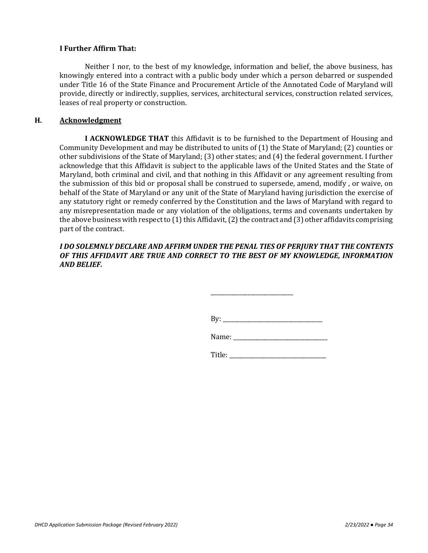#### **I Further Affirm That:**

Neither I nor, to the best of my knowledge, information and belief, the above business, has knowingly entered into a contract with a public body under which a person debarred or suspended under Title 16 of the State Finance and Procurement Article of the Annotated Code of Maryland will provide, directly or indirectly, supplies, services, architectural services, construction related services, leases of real property or construction.

#### **H. Acknowledgment**

**I ACKNOWLEDGE THAT** this Affidavit is to be furnished to the Department of Housing and Community Development and may be distributed to units of (1) the State of Maryland; (2) counties or other subdivisions of the State of Maryland; (3) other states; and (4) the federal government. I further acknowledge that this Affidavit is subject to the applicable laws of the United States and the State of Maryland, both criminal and civil, and that nothing in this Affidavit or any agreement resulting from the submission of this bid or proposal shall be construed to supersede, amend, modify , or waive, on behalf of the State of Maryland or any unit of the State of Maryland having jurisdiction the exercise of any statutory right or remedy conferred by the Constitution and the laws of Maryland with regard to any misrepresentation made or any violation of the obligations, terms and covenants undertaken by the above business with respect to (1) this Affidavit, (2) the contract and (3) other affidavits comprising part of the contract.

#### *I DO SOLEMNLY DECLARE AND AFFIRM UNDER THE PENAL TIES OF PERJURY THAT THE CONTENTS OF THIS AFFIDAVIT ARE TRUE AND CORRECT TO THE BEST OF MY KNOWLEDGE, INFORMATION AND BELIEF.*

By: \_\_\_\_\_\_\_\_\_\_\_\_\_\_\_\_\_\_\_\_\_\_\_\_\_\_\_\_\_\_\_\_\_\_\_

\_\_\_\_\_\_\_\_\_\_\_\_\_\_\_\_\_\_\_\_\_\_\_\_\_\_\_\_\_

Name: \_\_\_\_\_\_\_\_\_\_\_\_\_\_\_\_\_\_\_\_\_\_\_\_\_\_\_\_\_\_\_\_\_

Title: \_\_\_\_\_\_\_\_\_\_\_\_\_\_\_\_\_\_\_\_\_\_\_\_\_\_\_\_\_\_\_\_\_\_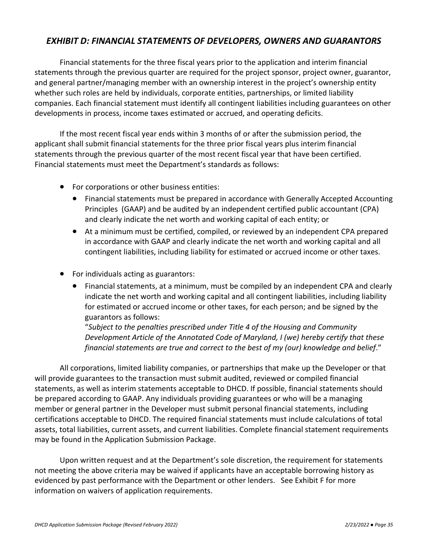# *EXHIBIT D: FINANCIAL STATEMENTS OF DEVELOPERS, OWNERS AND GUARANTORS*

Financial statements for the three fiscal years prior to the application and interim financial statements through the previous quarter are required for the project sponsor, project owner, guarantor, and general partner/managing member with an ownership interest in the project's ownership entity whether such roles are held by individuals, corporate entities, partnerships, or limited liability companies. Each financial statement must identify all contingent liabilities including guarantees on other developments in process, income taxes estimated or accrued, and operating deficits.

If the most recent fiscal year ends within 3 months of or after the submission period, the applicant shall submit financial statements for the three prior fiscal years plus interim financial statements through the previous quarter of the most recent fiscal year that have been certified. Financial statements must meet the Department's standards as follows:

- For corporations or other business entities:
	- Financial statements must be prepared in accordance with Generally Accepted Accounting Principles (GAAP) and be audited by an independent certified public accountant (CPA) and clearly indicate the net worth and working capital of each entity; or
	- At a minimum must be certified, compiled, or reviewed by an independent CPA prepared in accordance with GAAP and clearly indicate the net worth and working capital and all contingent liabilities, including liability for estimated or accrued income or other taxes.
- For individuals acting as guarantors:
	- Financial statements, at a minimum, must be compiled by an independent CPA and clearly indicate the net worth and working capital and all contingent liabilities, including liability for estimated or accrued income or other taxes, for each person; and be signed by the guarantors as follows:

"*Subject to the penalties prescribed under Title 4 of the Housing and Community Development Article of the Annotated Code of Maryland, I (we) hereby certify that these financial statements are true and correct to the best of my (our) knowledge and belief*."

All corporations, limited liability companies, or partnerships that make up the Developer or that will provide guarantees to the transaction must submit audited, reviewed or compiled financial statements, as well as interim statements acceptable to DHCD. If possible, financial statements should be prepared according to GAAP. Any individuals providing guarantees or who will be a managing member or general partner in the Developer must submit personal financial statements, including certifications acceptable to DHCD. The required financial statements must include calculations of total assets, total liabilities, current assets, and current liabilities. Complete financial statement requirements may be found in the Application Submission Package.

Upon written request and at the Department's sole discretion, the requirement for statements not meeting the above criteria may be waived if applicants have an acceptable borrowing history as evidenced by past performance with the Department or other lenders. See Exhibit F for more information on waivers of application requirements.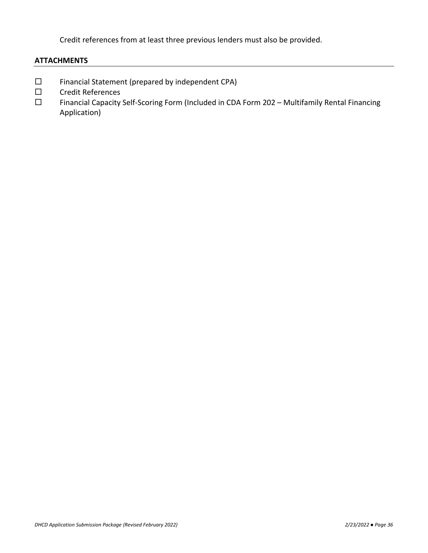Credit references from at least three previous lenders must also be provided.

### **ATTACHMENTS**

- $\square$  Financial Statement (prepared by independent CPA)
- □ Credit References
- Financial Capacity Self-Scoring Form (Included in CDA Form 202 Multifamily Rental Financing Application)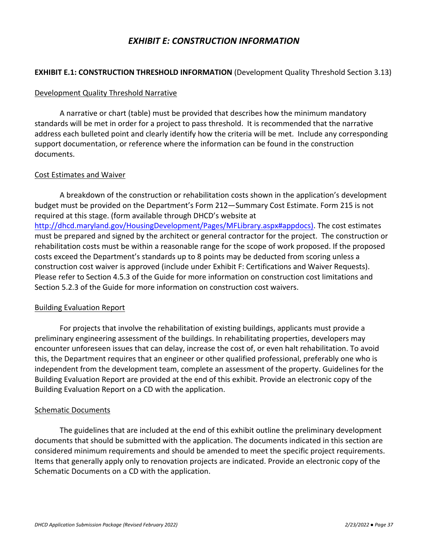## *EXHIBIT E: CONSTRUCTION INFORMATION*

### **EXHIBIT E.1: CONSTRUCTION THRESHOLD INFORMATION** (Development Quality Threshold Section 3.13)

### Development Quality Threshold Narrative

A narrative or chart (table) must be provided that describes how the minimum mandatory standards will be met in order for a project to pass threshold. It is recommended that the narrative address each bulleted point and clearly identify how the criteria will be met. Include any corresponding support documentation, or reference where the information can be found in the construction documents.

### Cost Estimates and Waiver

A breakdown of the construction or rehabilitation costs shown in the application's development budget must be provided on the Department's Form 212—Summary Cost Estimate. Form 215 is not required at this stage. (form available through DHCD's website at [http://dhcd.maryland.gov/HousingDevelopment/Pages/MFLibrary.aspx#appdocs\)](http://dhcd.maryland.gov/HousingDevelopment/Pages/MFLibrary.aspx#appdocs). The cost estimates must be prepared and signed by the architect or general contractor for the project. The construction or rehabilitation costs must be within a reasonable range for the scope of work proposed. If the proposed costs exceed the Department's standards up to 8 points may be deducted from scoring unless a construction cost waiver is approved (include under Exhibit F: Certifications and Waiver Requests). Please refer to Section 4.5.3 of the Guide for more information on construction cost limitations and Section 5.2.3 of the Guide for more information on construction cost waivers.

### Building Evaluation Report

For projects that involve the rehabilitation of existing buildings, applicants must provide a preliminary engineering assessment of the buildings. In rehabilitating properties, developers may encounter unforeseen issues that can delay, increase the cost of, or even halt rehabilitation. To avoid this, the Department requires that an engineer or other qualified professional, preferably one who is independent from the development team, complete an assessment of the property. Guidelines for the Building Evaluation Report are provided at the end of this exhibit. Provide an electronic copy of the Building Evaluation Report on a CD with the application.

### Schematic Documents

The guidelines that are included at the end of this exhibit outline the preliminary development documents that should be submitted with the application. The documents indicated in this section are considered minimum requirements and should be amended to meet the specific project requirements. Items that generally apply only to renovation projects are indicated. Provide an electronic copy of the Schematic Documents on a CD with the application.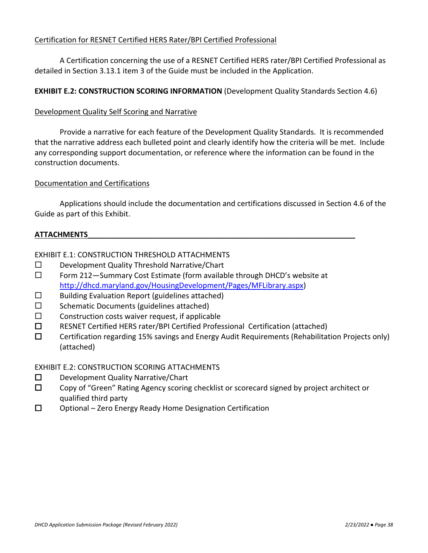## Certification for RESNET Certified HERS Rater/BPI Certified Professional

A Certification concerning the use of a RESNET Certified HERS rater/BPI Certified Professional as detailed in Section 3.13.1 item 3 of the Guide must be included in the Application.

## **EXHIBIT E.2: CONSTRUCTION SCORING INFORMATION** (Development Quality Standards Section 4.6)

## Development Quality Self Scoring and Narrative

Provide a narrative for each feature of the Development Quality Standards. It is recommended that the narrative address each bulleted point and clearly identify how the criteria will be met. Include any corresponding support documentation, or reference where the information can be found in the construction documents.

### Documentation and Certifications

Applications should include the documentation and certifications discussed in Section 4.6 of the Guide as part of this Exhibit.

### **ATTACHMENTS\_\_\_\_\_\_\_\_\_\_\_\_\_\_\_\_\_\_\_\_\_\_\_\_\_\_\_\_\_\_\_\_\_\_\_\_\_\_\_\_\_\_\_\_\_\_\_\_\_\_\_\_\_\_\_\_\_\_\_\_\_\_\_\_**

## EXHIBIT E.1: CONSTRUCTION THRESHOLD ATTACHMENTS

- D Development Quality Threshold Narrative/Chart
- $\square$  Form 212—Summary Cost Estimate (form available through DHCD's website at [http://dhcd.maryland.gov/HousingDevelopment/Pages/MFLibrary.aspx\)](http://dhcd.maryland.gov/HousingDevelopment/Pages/MFLibrary.aspx)
- $\square$  Building Evaluation Report (guidelines attached)
- $\square$  Schematic Documents (guidelines attached)
- $\square$  Construction costs waiver request, if applicable
- RESNET Certified HERS rater/BPI Certified Professional Certification (attached)
- $\square$  Certification regarding 15% savings and Energy Audit Requirements (Rehabilitation Projects only) (attached)

### EXHIBIT E.2: CONSTRUCTION SCORING ATTACHMENTS

- $\square$  Development Quality Narrative/Chart
- □ Copy of "Green" Rating Agency scoring checklist or scorecard signed by project architect or qualified third party
- $\square$  Optional Zero Energy Ready Home Designation Certification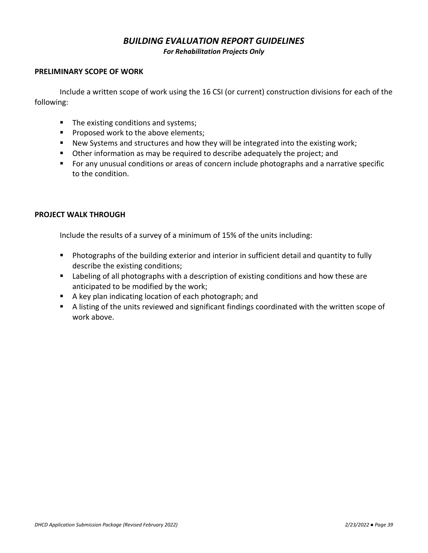# *BUILDING EVALUATION REPORT GUIDELINES*

*For Rehabilitation Projects Only*

### **PRELIMINARY SCOPE OF WORK**

Include a written scope of work using the 16 CSI (or current) construction divisions for each of the following:

- The existing conditions and systems;
- Proposed work to the above elements;
- New Systems and structures and how they will be integrated into the existing work;
- Other information as may be required to describe adequately the project; and
- For any unusual conditions or areas of concern include photographs and a narrative specific to the condition.

## **PROJECT WALK THROUGH**

Include the results of a survey of a minimum of 15% of the units including:

- Photographs of the building exterior and interior in sufficient detail and quantity to fully describe the existing conditions;
- Labeling of all photographs with a description of existing conditions and how these are anticipated to be modified by the work;
- A key plan indicating location of each photograph; and
- A listing of the units reviewed and significant findings coordinated with the written scope of work above.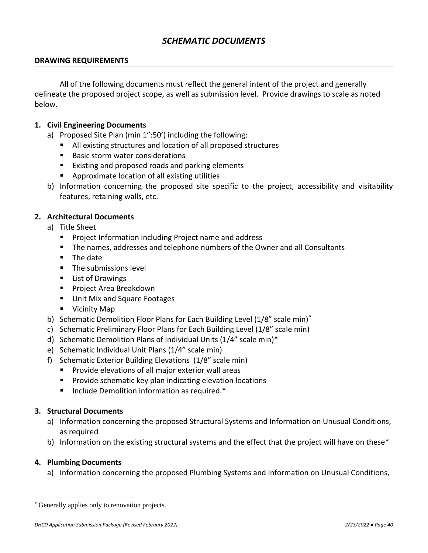# *SCHEMATIC DOCUMENTS*

### **DRAWING REQUIREMENTS**

All of the following documents must reflect the general intent of the project and generally delineate the proposed project scope, as well as submission level. Provide drawings to scale as noted below.

### **1. Civil Engineering Documents**

- a) Proposed Site Plan (min 1":50') including the following:
	- All existing structures and location of all proposed structures
	- **Basic storm water considerations**
	- Existing and proposed roads and parking elements
	- Approximate location of all existing utilities
- b) Information concerning the proposed site specific to the project, accessibility and visitability features, retaining walls, etc.

## **2. Architectural Documents**

- a) Title Sheet
	- Project Information including Project name and address
	- The names, addresses and telephone numbers of the Owner and all Consultants
	- The date
	- The submissions level
	- List of Drawings
	- Project Area Breakdown
	- Unit Mix and Square Footages
	- Vicinity Map
- b) Schematic Demolition Floor Plans for Each Building Level (1/8" scale min)<sup>\*</sup>
- c) Schematic Preliminary Floor Plans for Each Building Level (1/8" scale min)
- d) Schematic Demolition Plans of Individual Units (1/4" scale min)\*
- e) Schematic Individual Unit Plans (1/4" scale min)
- f) Schematic Exterior Building Elevations (1/8" scale min)
	- Provide elevations of all major exterior wall areas
	- Provide schematic key plan indicating elevation locations
	- Include Demolition information as required.<sup>\*</sup>

## **3. Structural Documents**

- a) Information concerning the proposed Structural Systems and Information on Unusual Conditions, as required
- b) Information on the existing structural systems and the effect that the project will have on these\*

### **4. Plumbing Documents**

 $\overline{a}$ 

a) Information concerning the proposed Plumbing Systems and Information on Unusual Conditions,

<sup>\*</sup> Generally applies only to renovation projects.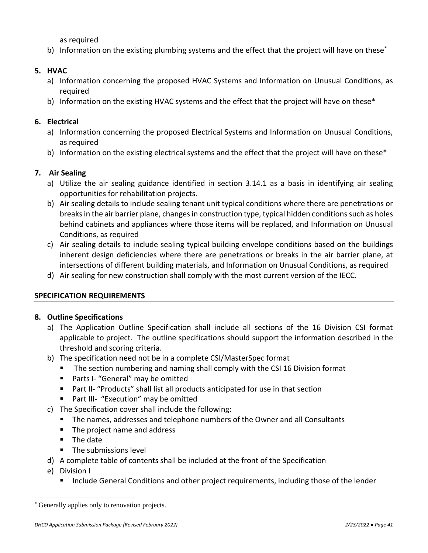as required

b) Information on the existing plumbing systems and the effect that the project will have on these<sup>\*</sup>

## **5. HVAC**

- a) Information concerning the proposed HVAC Systems and Information on Unusual Conditions, as required
- b) Information on the existing HVAC systems and the effect that the project will have on these\*

## **6. Electrical**

- a) Information concerning the proposed Electrical Systems and Information on Unusual Conditions, as required
- b) Information on the existing electrical systems and the effect that the project will have on these\*

# **7. Air Sealing**

- a) Utilize the air sealing guidance identified in section 3.14.1 as a basis in identifying air sealing opportunities for rehabilitation projects.
- b) Air sealing details to include sealing tenant unit typical conditions where there are penetrations or breaks in the air barrier plane, changes in construction type, typical hidden conditions such as holes behind cabinets and appliances where those items will be replaced, and Information on Unusual Conditions, as required
- c) Air sealing details to include sealing typical building envelope conditions based on the buildings inherent design deficiencies where there are penetrations or breaks in the air barrier plane, at intersections of different building materials, and Information on Unusual Conditions, as required
- d) Air sealing for new construction shall comply with the most current version of the IECC.

## **SPECIFICATION REQUIREMENTS**

## **8. Outline Specifications**

- a) The Application Outline Specification shall include all sections of the 16 Division CSI format applicable to project. The outline specifications should support the information described in the threshold and scoring criteria.
- b) The specification need not be in a complete CSI/MasterSpec format
	- The section numbering and naming shall comply with the CSI 16 Division format
	- Parts I- "General" may be omitted
	- Part II- "Products" shall list all products anticipated for use in that section
	- Part III- "Execution" may be omitted
- c) The Specification cover shall include the following:
	- The names, addresses and telephone numbers of the Owner and all Consultants
	- The project name and address
	- The date
	- The submissions level
- d) A complete table of contents shall be included at the front of the Specification
- e) Division I

 $\overline{a}$ 

■ Include General Conditions and other project requirements, including those of the lender

<sup>\*</sup> Generally applies only to renovation projects.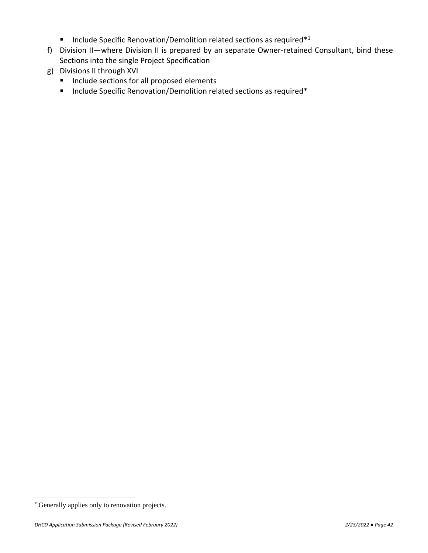- Include Specific Renovation/Demolition related sections as required<sup>\*1</sup>
- f) Division II—where Division II is prepared by an separate Owner-retained Consultant, bind these Sections into the single Project Specification
- g) Divisions II through XVI
	- Include sections for all proposed elements
	- Include Specific Renovation/Demolition related sections as required\*

 $\overline{a}$ 

<sup>\*</sup> Generally applies only to renovation projects.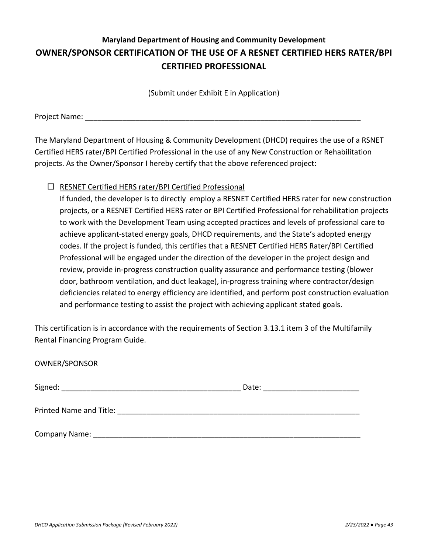# **Maryland Department of Housing and Community Development OWNER/SPONSOR CERTIFICATION OF THE USE OF A RESNET CERTIFIED HERS RATER/BPI CERTIFIED PROFESSIONAL**

(Submit under Exhibit E in Application)

Project Name:

The Maryland Department of Housing & Community Development (DHCD) requires the use of a RSNET Certified HERS rater/BPI Certified Professional in the use of any New Construction or Rehabilitation projects. As the Owner/Sponsor I hereby certify that the above referenced project:

## $\Box$  RESNET Certified HERS rater/BPI Certified Professional

If funded, the developer is to directly employ a RESNET Certified HERS rater for new construction projects, or a RESNET Certified HERS rater or BPI Certified Professional for rehabilitation projects to work with the Development Team using accepted practices and levels of professional care to achieve applicant-stated energy goals, DHCD requirements, and the State's adopted energy codes. If the project is funded, this certifies that a RESNET Certified HERS Rater/BPI Certified Professional will be engaged under the direction of the developer in the project design and review, provide in-progress construction quality assurance and performance testing (blower door, bathroom ventilation, and duct leakage), in-progress training where contractor/design deficiencies related to energy efficiency are identified, and perform post construction evaluation and performance testing to assist the project with achieving applicant stated goals.

This certification is in accordance with the requirements of Section 3.13.1 item 3 of the Multifamily Rental Financing Program Guide.

| OWNER/SPONSOR |                                |
|---------------|--------------------------------|
|               | Date: ________________________ |
|               |                                |
|               |                                |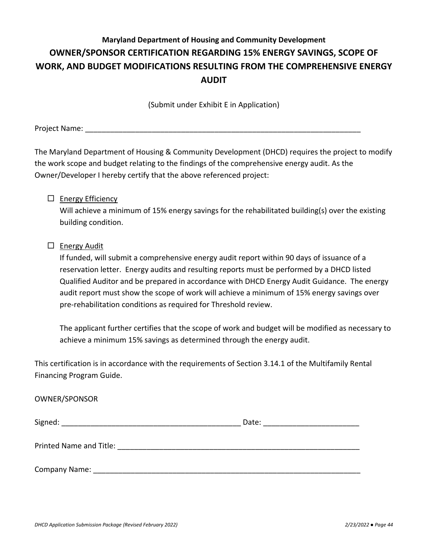# **Maryland Department of Housing and Community Development OWNER/SPONSOR CERTIFICATION REGARDING 15% ENERGY SAVINGS, SCOPE OF WORK, AND BUDGET MODIFICATIONS RESULTING FROM THE COMPREHENSIVE ENERGY AUDIT**

(Submit under Exhibit E in Application)

Project Name: **Example 20** 

The Maryland Department of Housing & Community Development (DHCD) requires the project to modify the work scope and budget relating to the findings of the comprehensive energy audit. As the Owner/Developer I hereby certify that the above referenced project:

## $\Box$  Energy Efficiency

Will achieve a minimum of 15% energy savings for the rehabilitated building(s) over the existing building condition.

## $\square$  Energy Audit

If funded, will submit a comprehensive energy audit report within 90 days of issuance of a reservation letter. Energy audits and resulting reports must be performed by a DHCD listed Qualified Auditor and be prepared in accordance with DHCD Energy Audit Guidance. The energy audit report must show the scope of work will achieve a minimum of 15% energy savings over pre-rehabilitation conditions as required for Threshold review.

The applicant further certifies that the scope of work and budget will be modified as necessary to achieve a minimum 15% savings as determined through the energy audit.

This certification is in accordance with the requirements of Section 3.14.1 of the Multifamily Rental Financing Program Guide.

### OWNER/SPONSOR

| Signed:                 | Date: |
|-------------------------|-------|
| Printed Name and Title: |       |
| <b>Company Name:</b>    |       |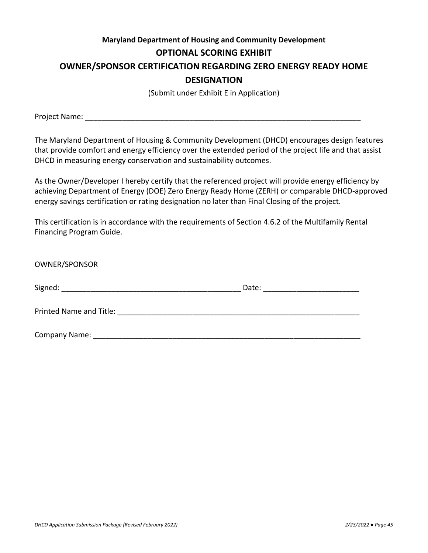# **Maryland Department of Housing and Community Development OPTIONAL SCORING EXHIBIT OWNER/SPONSOR CERTIFICATION REGARDING ZERO ENERGY READY HOME DESIGNATION**

(Submit under Exhibit E in Application)

Project Name: **Example 20** For all the set of  $\mathcal{L}$ 

The Maryland Department of Housing & Community Development (DHCD) encourages design features that provide comfort and energy efficiency over the extended period of the project life and that assist DHCD in measuring energy conservation and sustainability outcomes.

As the Owner/Developer I hereby certify that the referenced project will provide energy efficiency by achieving Department of Energy (DOE) Zero Energy Ready Home (ZERH) or comparable DHCD-approved energy savings certification or rating designation no later than Final Closing of the project.

This certification is in accordance with the requirements of Section 4.6.2 of the Multifamily Rental Financing Program Guide.

| OWNER/SPONSOR                                                                                                                                                                                                                      |                              |  |
|------------------------------------------------------------------------------------------------------------------------------------------------------------------------------------------------------------------------------------|------------------------------|--|
|                                                                                                                                                                                                                                    | Date: ______________________ |  |
| <b>Printed Name and Title:</b> The contract of the contract of the contract of the contract of the contract of the contract of the contract of the contract of the contract of the contract of the contract of the contract of the |                              |  |
| Company Name: _                                                                                                                                                                                                                    |                              |  |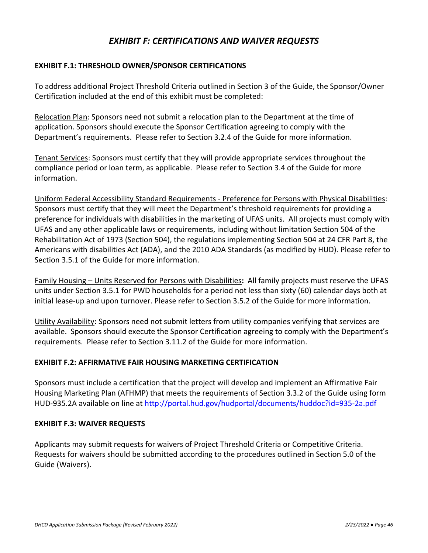# *EXHIBIT F: CERTIFICATIONS AND WAIVER REQUESTS*

## **EXHIBIT F.1: THRESHOLD OWNER/SPONSOR CERTIFICATIONS**

To address additional Project Threshold Criteria outlined in Section 3 of the Guide, the Sponsor/Owner Certification included at the end of this exhibit must be completed:

Relocation Plan: Sponsors need not submit a relocation plan to the Department at the time of application. Sponsors should execute the Sponsor Certification agreeing to comply with the Department's requirements. Please refer to Section 3.2.4 of the Guide for more information.

Tenant Services: Sponsors must certify that they will provide appropriate services throughout the compliance period or loan term, as applicable. Please refer to Section 3.4 of the Guide for more information.

Uniform Federal Accessibility Standard Requirements - Preference for Persons with Physical Disabilities: Sponsors must certify that they will meet the Department's threshold requirements for providing a preference for individuals with disabilities in the marketing of UFAS units. All projects must comply with UFAS and any other applicable laws or requirements, including without limitation Section 504 of the Rehabilitation Act of 1973 (Section 504), the regulations implementing Section 504 at 24 CFR Part 8, the Americans with disabilities Act (ADA), and the 2010 ADA Standards (as modified by HUD). Please refer to Section 3.5.1 of the Guide for more information.

Family Housing – Units Reserved for Persons with Disabilities**:** All family projects must reserve the UFAS units under Section 3.5.1 for PWD households for a period not less than sixty (60) calendar days both at initial lease-up and upon turnover. Please refer to Section 3.5.2 of the Guide for more information.

Utility Availability: Sponsors need not submit letters from utility companies verifying that services are available. Sponsors should execute the Sponsor Certification agreeing to comply with the Department's requirements. Please refer to Section 3.11.2 of the Guide for more information.

## **EXHIBIT F.2: AFFIRMATIVE FAIR HOUSING MARKETING CERTIFICATION**

Sponsors must include a certification that the project will develop and implement an Affirmative Fair Housing Marketing Plan (AFHMP) that meets the requirements of Section 3.3.2 of the Guide using form HUD-935.2A available on line at<http://portal.hud.gov/hudportal/documents/huddoc?id=935-2a.pdf>

### **EXHIBIT F.3: WAIVER REQUESTS**

Applicants may submit requests for waivers of Project Threshold Criteria or Competitive Criteria. Requests for waivers should be submitted according to the procedures outlined in Section 5.0 of the Guide (Waivers).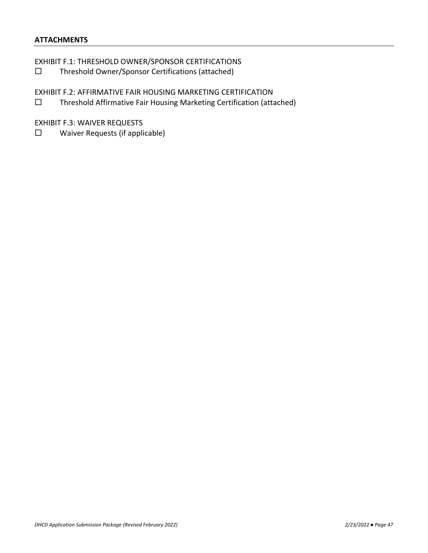## **ATTACHMENTS**

EXHIBIT F.1: THRESHOLD OWNER/SPONSOR CERTIFICATIONS

Threshold Owner/Sponsor Certifications (attached)

EXHIBIT F.2: AFFIRMATIVE FAIR HOUSING MARKETING CERTIFICATION

Threshold Affirmative Fair Housing Marketing Certification (attached)

EXHIBIT F.3: WAIVER REQUESTS

□ Waiver Requests (if applicable)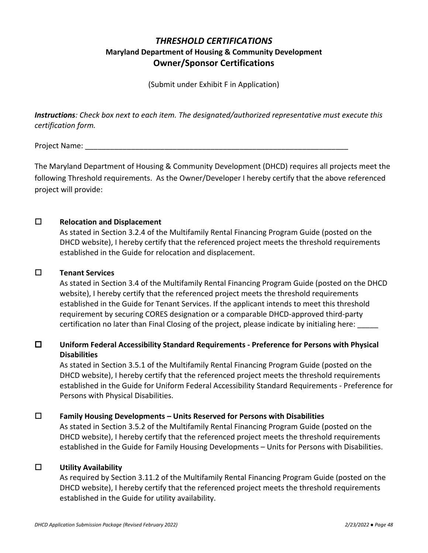# *THRESHOLD CERTIFICATIONS*  **Maryland Department of Housing & Community Development Owner/Sponsor Certifications**

(Submit under Exhibit F in Application)

*Instructions: Check box next to each item. The designated/authorized representative must execute this certification form.*

Project Name:

The Maryland Department of Housing & Community Development (DHCD) requires all projects meet the following Threshold requirements. As the Owner/Developer I hereby certify that the above referenced project will provide:

## **Relocation and Displacement**

As stated in Section 3.2.4 of the Multifamily Rental Financing Program Guide (posted on the DHCD website), I hereby certify that the referenced project meets the threshold requirements established in the Guide for relocation and displacement.

## **Tenant Services**

As stated in Section 3.4 of the Multifamily Rental Financing Program Guide (posted on the DHCD website), I hereby certify that the referenced project meets the threshold requirements established in the Guide for Tenant Services. If the applicant intends to meet this threshold requirement by securing CORES designation or a comparable DHCD-approved third-party certification no later than Final Closing of the project, please indicate by initialing here:

# **Uniform Federal Accessibility Standard Requirements - Preference for Persons with Physical Disabilities**

As stated in Section 3.5.1 of the Multifamily Rental Financing Program Guide (posted on the DHCD website), I hereby certify that the referenced project meets the threshold requirements established in the Guide for Uniform Federal Accessibility Standard Requirements - Preference for Persons with Physical Disabilities.

## **Family Housing Developments – Units Reserved for Persons with Disabilities**

As stated in Section 3.5.2 of the Multifamily Rental Financing Program Guide (posted on the DHCD website), I hereby certify that the referenced project meets the threshold requirements established in the Guide for Family Housing Developments – Units for Persons with Disabilities.

## **Utility Availability**

As required by Section 3.11.2 of the Multifamily Rental Financing Program Guide (posted on the DHCD website), I hereby certify that the referenced project meets the threshold requirements established in the Guide for utility availability.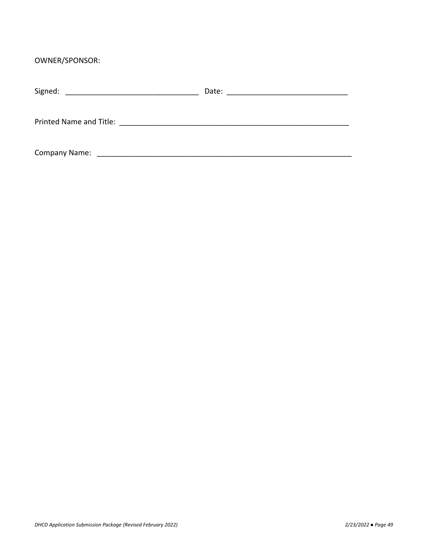OWNER/SPONSOR:

| Signed:<br><u> 1980 - John Stone, Amerikaansk politiker (</u> | Date: |
|---------------------------------------------------------------|-------|
| Printed Name and Title:                                       |       |
| <b>Company Name:</b>                                          |       |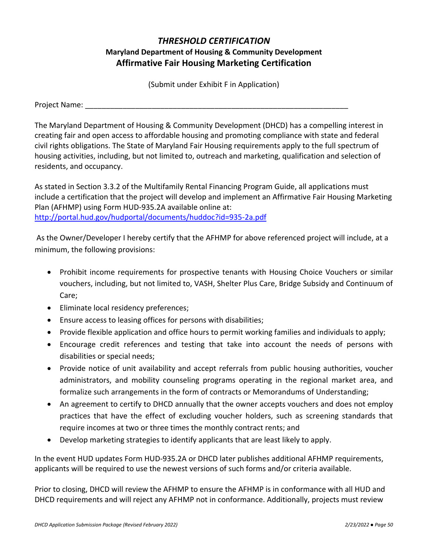# *THRESHOLD CERTIFICATION*  **Maryland Department of Housing & Community Development Affirmative Fair Housing Marketing Certification**

(Submit under Exhibit F in Application)

Project Name: **Example 20** 

The Maryland Department of Housing & Community Development (DHCD) has a compelling interest in creating fair and open access to affordable housing and promoting compliance with state and federal civil rights obligations. The State of Maryland Fair Housing requirements apply to the full spectrum of housing activities, including, but not limited to, outreach and marketing, qualification and selection of residents, and occupancy.

As stated in Section 3.3.2 of the Multifamily Rental Financing Program Guide, all applications must include a certification that the project will develop and implement an Affirmative Fair Housing Marketing Plan (AFHMP) using Form HUD-935.2A available online at: <http://portal.hud.gov/hudportal/documents/huddoc?id=935-2a.pdf>

As the Owner/Developer I hereby certify that the AFHMP for above referenced project will include, at a minimum, the following provisions:

- Prohibit income requirements for prospective tenants with Housing Choice Vouchers or similar vouchers, including, but not limited to, VASH, Shelter Plus Care, Bridge Subsidy and Continuum of Care;
- Eliminate local residency preferences;
- Ensure access to leasing offices for persons with disabilities;
- Provide flexible application and office hours to permit working families and individuals to apply;
- Encourage credit references and testing that take into account the needs of persons with disabilities or special needs;
- Provide notice of unit availability and accept referrals from public housing authorities, voucher administrators, and mobility counseling programs operating in the regional market area, and formalize such arrangements in the form of contracts or Memorandums of Understanding;
- An agreement to certify to DHCD annually that the owner accepts vouchers and does not employ practices that have the effect of excluding voucher holders, such as screening standards that require incomes at two or three times the monthly contract rents; and
- Develop marketing strategies to identify applicants that are least likely to apply.

In the event HUD updates Form HUD-935.2A or DHCD later publishes additional AFHMP requirements, applicants will be required to use the newest versions of such forms and/or criteria available.

Prior to closing, DHCD will review the AFHMP to ensure the AFHMP is in conformance with all HUD and DHCD requirements and will reject any AFHMP not in conformance. Additionally, projects must review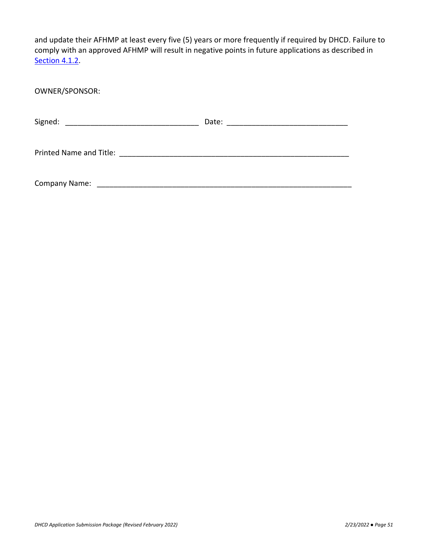and update their AFHMP at least every five (5) years or more frequently if required by DHCD. Failure to comply with an approved AFHMP will result in negative points in future applications as described in Section 4.1.2.

OWNER/SPONSOR: Signed: \_\_\_\_\_\_\_\_\_\_\_\_\_\_\_\_\_\_\_\_\_\_\_\_\_\_\_\_\_\_\_\_ Date: \_\_\_\_\_\_\_\_\_\_\_\_\_\_\_\_\_\_\_\_\_\_\_\_\_\_\_\_\_ Printed Name and Title: \_\_\_\_\_\_\_\_\_\_\_\_\_\_\_\_\_\_\_\_\_\_\_\_\_\_\_\_\_\_\_\_\_\_\_\_\_\_\_\_\_\_\_\_\_\_\_\_\_\_\_\_\_\_\_ Company Name: \_\_\_\_\_\_\_\_\_\_\_\_\_\_\_\_\_\_\_\_\_\_\_\_\_\_\_\_\_\_\_\_\_\_\_\_\_\_\_\_\_\_\_\_\_\_\_\_\_\_\_\_\_\_\_\_\_\_\_\_\_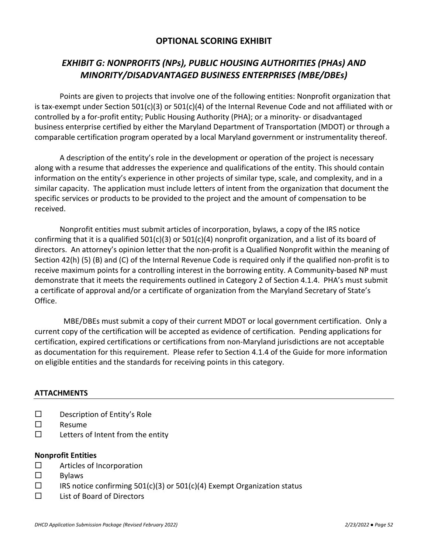# *EXHIBIT G: NONPROFITS (NPs), PUBLIC HOUSING AUTHORITIES (PHAs) AND MINORITY/DISADVANTAGED BUSINESS ENTERPRISES (MBE/DBEs)*

Points are given to projects that involve one of the following entities: Nonprofit organization that is tax-exempt under Section 501(c)(3) or 501(c)(4) of the Internal Revenue Code and not affiliated with or controlled by a for-profit entity; Public Housing Authority (PHA); or a minority- or disadvantaged business enterprise certified by either the Maryland Department of Transportation (MDOT) or through a comparable certification program operated by a local Maryland government or instrumentality thereof.

A description of the entity's role in the development or operation of the project is necessary along with a resume that addresses the experience and qualifications of the entity. This should contain information on the entity's experience in other projects of similar type, scale, and complexity, and in a similar capacity. The application must include letters of intent from the organization that document the specific services or products to be provided to the project and the amount of compensation to be received.

Nonprofit entities must submit articles of incorporation, bylaws, a copy of the IRS notice confirming that it is a qualified  $501(c)(3)$  or  $501(c)(4)$  nonprofit organization, and a list of its board of directors. An attorney's opinion letter that the non-profit is a Qualified Nonprofit within the meaning of Section 42(h) (5) (B) and (C) of the Internal Revenue Code is required only if the qualified non-profit is to receive maximum points for a controlling interest in the borrowing entity. A Community-based NP must demonstrate that it meets the requirements outlined in Category 2 of Section 4.1.4. PHA's must submit a certificate of approval and/or a certificate of organization from the Maryland Secretary of State's Office.

 MBE/DBEs must submit a copy of their current MDOT or local government certification. Only a current copy of the certification will be accepted as evidence of certification. Pending applications for certification, expired certifications or certifications from non-Maryland jurisdictions are not acceptable as documentation for this requirement. Please refer to Section 4.1.4 of the Guide for more information on eligible entities and the standards for receiving points in this category.

### **ATTACHMENTS**

- $\square$  Description of Entity's Role
- $\square$  Resume
- $\square$  Letters of Intent from the entity

### **Nonprofit Entities**

- □ Articles of Incorporation
- $\square$  Bylaws
- $\Box$  IRS notice confirming 501(c)(3) or 501(c)(4) Exempt Organization status
- $\Box$  List of Board of Directors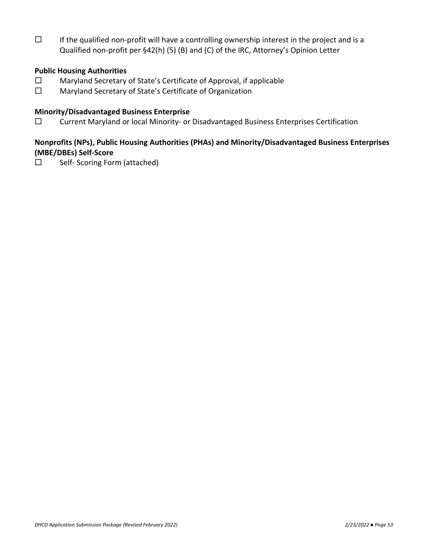$\square$  If the qualified non-profit will have a controlling ownership interest in the project and is a Qualified non-profit per §42(h) (5) (B) and (C) of the IRC, Attorney's Opinion Letter

## **Public Housing Authorities**

- Maryland Secretary of State's Certificate of Approval, if applicable
- □ Maryland Secretary of State's Certificate of Organization

## **Minority/Disadvantaged Business Enterprise**

 $\square$  Current Maryland or local Minority- or Disadvantaged Business Enterprises Certification

## **Nonprofits (NPs), Public Housing Authorities (PHAs) and Minority/Disadvantaged Business Enterprises (MBE/DBEs) Self-Score**

 $\square$  Self- Scoring Form (attached)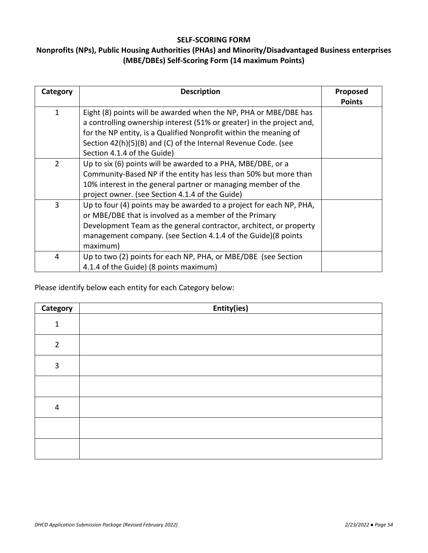### **SELF-SCORING FORM**

# **Nonprofits (NPs), Public Housing Authorities (PHAs) and Minority/Disadvantaged Business enterprises (MBE/DBEs) Self-Scoring Form (14 maximum Points)**

| Category     | <b>Description</b>                                                    | <b>Proposed</b> |
|--------------|-----------------------------------------------------------------------|-----------------|
|              |                                                                       | <b>Points</b>   |
| $\mathbf{1}$ | Eight (8) points will be awarded when the NP, PHA or MBE/DBE has      |                 |
|              | a controlling ownership interest (51% or greater) in the project and, |                 |
|              | for the NP entity, is a Qualified Nonprofit within the meaning of     |                 |
|              | Section 42(h)(5)(B) and (C) of the Internal Revenue Code. (see        |                 |
|              | Section 4.1.4 of the Guide)                                           |                 |
| 2            | Up to six (6) points will be awarded to a PHA, MBE/DBE, or a          |                 |
|              | Community-Based NP if the entity has less than 50% but more than      |                 |
|              | 10% interest in the general partner or managing member of the         |                 |
|              | project owner. (see Section 4.1.4 of the Guide)                       |                 |
| 3            | Up to four (4) points may be awarded to a project for each NP, PHA,   |                 |
|              | or MBE/DBE that is involved as a member of the Primary                |                 |
|              | Development Team as the general contractor, architect, or property    |                 |
|              | management company. (see Section 4.1.4 of the Guide)(8 points         |                 |
|              | maximum)                                                              |                 |
| 4            | Up to two (2) points for each NP, PHA, or MBE/DBE (see Section        |                 |
|              | 4.1.4 of the Guide) (8 points maximum)                                |                 |

Please identify below each entity for each Category below:

| Category       | Entity(ies) |
|----------------|-------------|
| 1              |             |
| $\overline{2}$ |             |
| 3              |             |
|                |             |
| $\overline{4}$ |             |
|                |             |
|                |             |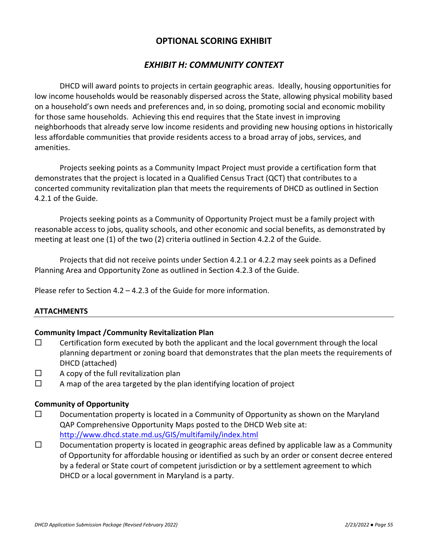## *EXHIBIT H: COMMUNITY CONTEXT*

DHCD will award points to projects in certain geographic areas. Ideally, housing opportunities for low income households would be reasonably dispersed across the State, allowing physical mobility based on a household's own needs and preferences and, in so doing, promoting social and economic mobility for those same households. Achieving this end requires that the State invest in improving neighborhoods that already serve low income residents and providing new housing options in historically less affordable communities that provide residents access to a broad array of jobs, services, and amenities.

Projects seeking points as a Community Impact Project must provide a certification form that demonstrates that the project is located in a Qualified Census Tract (QCT) that contributes to a concerted community revitalization plan that meets the requirements of DHCD as outlined in Section 4.2.1 of the Guide.

Projects seeking points as a Community of Opportunity Project must be a family project with reasonable access to jobs, quality schools, and other economic and social benefits, as demonstrated by meeting at least one (1) of the two (2) criteria outlined in Section 4.2.2 of the Guide.

Projects that did not receive points under Section 4.2.1 or 4.2.2 may seek points as a Defined Planning Area and Opportunity Zone as outlined in Section 4.2.3 of the Guide.

Please refer to Section 4.2 – 4.2.3 of the Guide for more information.

## **ATTACHMENTS**

### **Community Impact /Community Revitalization Plan**

- $\square$  Certification form executed by both the applicant and the local government through the local planning department or zoning board that demonstrates that the plan meets the requirements of DHCD (attached)
- $\Box$  A copy of the full revitalization plan
- $\Box$  A map of the area targeted by the plan identifying location of project

### **Community of Opportunity**

- $\square$  Documentation property is located in a Community of Opportunity as shown on the Maryland QAP Comprehensive Opportunity Maps posted to the DHCD Web site at: <http://www.dhcd.state.md.us/GIS/multifamily/index.html>
- $\square$  Documentation property is located in geographic areas defined by applicable law as a Community of Opportunity for affordable housing or identified as such by an order or consent decree entered by a federal or State court of competent jurisdiction or by a settlement agreement to which DHCD or a local government in Maryland is a party.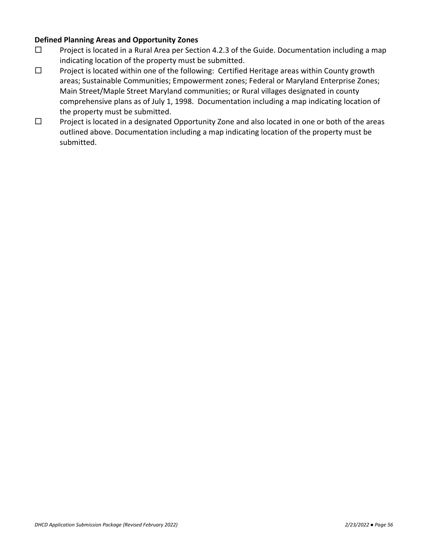## **Defined Planning Areas and Opportunity Zones**

- $\square$  Project is located in a Rural Area per Section 4.2.3 of the Guide. Documentation including a map indicating location of the property must be submitted.
- $\square$  Project is located within one of the following: Certified Heritage areas within County growth areas; Sustainable Communities; Empowerment zones; Federal or Maryland Enterprise Zones; Main Street/Maple Street Maryland communities; or Rural villages designated in county comprehensive plans as of July 1, 1998. Documentation including a map indicating location of the property must be submitted.
- $\Box$  Project is located in a designated Opportunity Zone and also located in one or both of the areas outlined above. Documentation including a map indicating location of the property must be submitted.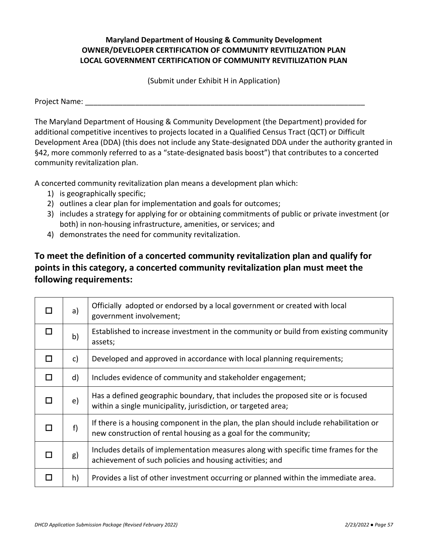## **Maryland Department of Housing & Community Development OWNER/DEVELOPER CERTIFICATION OF COMMUNITY REVITILIZATION PLAN LOCAL GOVERNMENT CERTIFICATION OF COMMUNITY REVITILIZATION PLAN**

(Submit under Exhibit H in Application)

Project Name: **Example 20** and the set of the set of the set of the set of the set of the set of the set of the set of the set of the set of the set of the set of the set of the set of the set of the set of the set of the

The Maryland Department of Housing & Community Development (the Department) provided for additional competitive incentives to projects located in a Qualified Census Tract (QCT) or Difficult Development Area (DDA) (this does not include any State-designated DDA under the authority granted in §42, more commonly referred to as a "state-designated basis boost") that contributes to a concerted community revitalization plan.

A concerted community revitalization plan means a development plan which:

- 1) is geographically specific;
- 2) outlines a clear plan for implementation and goals for outcomes;
- 3) includes a strategy for applying for or obtaining commitments of public or private investment (or both) in non-housing infrastructure, amenities, or services; and
- 4) demonstrates the need for community revitalization.

# **To meet the definition of a concerted community revitalization plan and qualify for points in this category, a concerted community revitalization plan must meet the following requirements:**

| a)         | Officially adopted or endorsed by a local government or created with local<br>government involvement;                                                     |
|------------|-----------------------------------------------------------------------------------------------------------------------------------------------------------|
| b)         | Established to increase investment in the community or build from existing community<br>assets;                                                           |
| c)         | Developed and approved in accordance with local planning requirements;                                                                                    |
| d)         | Includes evidence of community and stakeholder engagement;                                                                                                |
| $\epsilon$ | Has a defined geographic boundary, that includes the proposed site or is focused<br>within a single municipality, jurisdiction, or targeted area;         |
| f)         | If there is a housing component in the plan, the plan should include rehabilitation or<br>new construction of rental housing as a goal for the community; |
| g)         | Includes details of implementation measures along with specific time frames for the<br>achievement of such policies and housing activities; and           |
| h)         | Provides a list of other investment occurring or planned within the immediate area.                                                                       |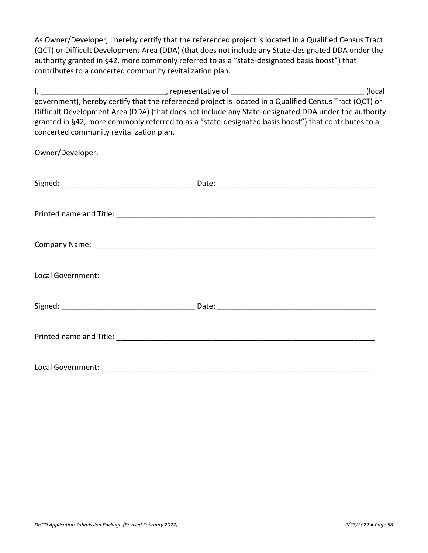As Owner/Developer, I hereby certify that the referenced project is located in a Qualified Census Tract (QCT) or Difficult Development Area (DDA) (that does not include any State-designated DDA under the authority granted in §42, more commonly referred to as a "state-designated basis boost") that contributes to a concerted community revitalization plan.

I, \_\_\_\_\_\_\_\_\_\_\_\_\_\_\_\_\_\_\_\_\_\_\_\_\_\_\_\_\_\_, representative of \_\_\_\_\_\_\_\_\_\_\_\_\_\_\_\_\_\_\_\_\_\_\_\_\_\_\_\_\_\_\_\_ (local government), hereby certify that the referenced project is located in a Qualified Census Tract (QCT) or Difficult Development Area (DDA) (that does not include any State-designated DDA under the authority granted in §42, more commonly referred to as a "state-designated basis boost") that contributes to a concerted community revitalization plan.

Owner/Developer: Signed: \_\_\_\_\_\_\_\_\_\_\_\_\_\_\_\_\_\_\_\_\_\_\_\_\_\_\_\_\_\_\_\_ Date: \_\_\_\_\_\_\_\_\_\_\_\_\_\_\_\_\_\_\_\_\_\_\_\_\_\_\_\_\_\_\_\_\_\_\_\_\_\_ Printed name and Title: \_\_\_\_\_\_\_\_\_\_\_\_\_\_\_\_\_\_\_\_\_\_\_\_\_\_\_\_\_\_\_\_\_\_\_\_\_\_\_\_\_\_\_\_\_\_\_\_\_\_\_\_\_\_\_\_\_\_\_\_\_\_ Company Name: \_\_\_\_\_\_\_\_\_\_\_\_\_\_\_\_\_\_\_\_\_\_\_\_\_\_\_\_\_\_\_\_\_\_\_\_\_\_\_\_\_\_\_\_\_\_\_\_\_\_\_\_\_\_\_\_\_\_\_\_\_\_\_\_\_\_\_\_ Local Government: Signed: \_\_\_\_\_\_\_\_\_\_\_\_\_\_\_\_\_\_\_\_\_\_\_\_\_\_\_\_\_\_\_\_ Date: \_\_\_\_\_\_\_\_\_\_\_\_\_\_\_\_\_\_\_\_\_\_\_\_\_\_\_\_\_\_\_\_\_\_\_\_\_\_ Printed name and Title: \_\_\_\_\_\_\_\_\_\_\_\_\_\_\_\_\_\_\_\_\_\_\_\_\_\_\_\_\_\_\_\_\_\_\_\_\_\_\_\_\_\_\_\_\_\_\_\_\_\_\_\_\_\_\_\_\_\_\_\_\_\_ Local Government: \_\_\_\_\_\_\_\_\_\_\_\_\_\_\_\_\_\_\_\_\_\_\_\_\_\_\_\_\_\_\_\_\_\_\_\_\_\_\_\_\_\_\_\_\_\_\_\_\_\_\_\_\_\_\_\_\_\_\_\_\_\_\_\_\_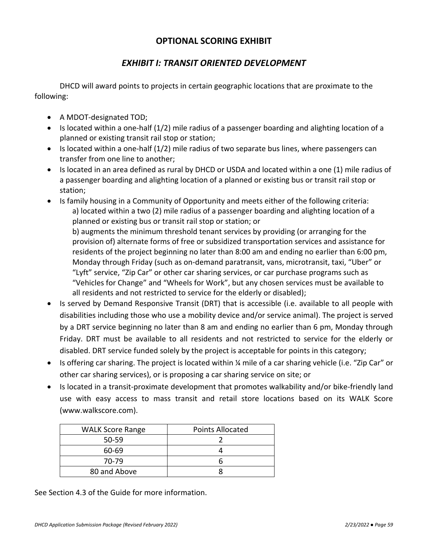# *EXHIBIT I: TRANSIT ORIENTED DEVELOPMENT*

DHCD will award points to projects in certain geographic locations that are proximate to the following:

- A MDOT-designated TOD;
- Is located within a one-half (1/2) mile radius of a passenger boarding and alighting location of a planned or existing transit rail stop or station;
- Is located within a one-half (1/2) mile radius of two separate bus lines, where passengers can transfer from one line to another;
- Is located in an area defined as rural by DHCD or USDA and located within a one (1) mile radius of a passenger boarding and alighting location of a planned or existing bus or transit rail stop or station;
- Is family housing in a Community of Opportunity and meets either of the following criteria: a) located within a two (2) mile radius of a passenger boarding and alighting location of a planned or existing bus or transit rail stop or station; or b) augments the minimum threshold tenant services by providing (or arranging for the provision of) alternate forms of free or subsidized transportation services and assistance for residents of the project beginning no later than 8:00 am and ending no earlier than 6:00 pm, Monday through Friday (such as on-demand paratransit, vans, microtransit, taxi, "Uber" or "Lyft" service, "Zip Car" or other car sharing services, or car purchase programs such as "Vehicles for Change" and "Wheels for Work", but any chosen services must be available to all residents and not restricted to service for the elderly or disabled);
- Is served by Demand Responsive Transit (DRT) that is accessible (i.e. available to all people with disabilities including those who use a mobility device and/or service animal). The project is served by a DRT service beginning no later than 8 am and ending no earlier than 6 pm, Monday through Friday. DRT must be available to all residents and not restricted to service for the elderly or disabled. DRT service funded solely by the project is acceptable for points in this category;
- Is offering car sharing. The project is located within % mile of a car sharing vehicle (i.e. "Zip Car" or other car sharing services), or is proposing a car sharing service on site; or
- Is located in a transit-proximate development that promotes walkability and/or bike-friendly land use with easy access to mass transit and retail store locations based on its WALK Score (www.walkscore.com).

| <b>WALK Score Range</b> | <b>Points Allocated</b> |
|-------------------------|-------------------------|
| $50 - 59$               |                         |
| 60-69                   |                         |
| 70-79                   |                         |
| 80 and Above            |                         |

See Section 4.3 of the Guide for more information.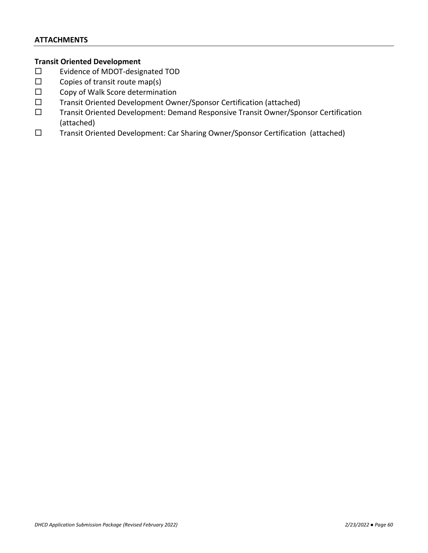## **ATTACHMENTS**

## **Transit Oriented Development**

- Evidence of MDOT-designated TOD
- $\square$  Copies of transit route map(s)
- $\square$  Copy of Walk Score determination
- Transit Oriented Development Owner/Sponsor Certification (attached)
- Transit Oriented Development: Demand Responsive Transit Owner/Sponsor Certification (attached)
- Transit Oriented Development: Car Sharing Owner/Sponsor Certification (attached)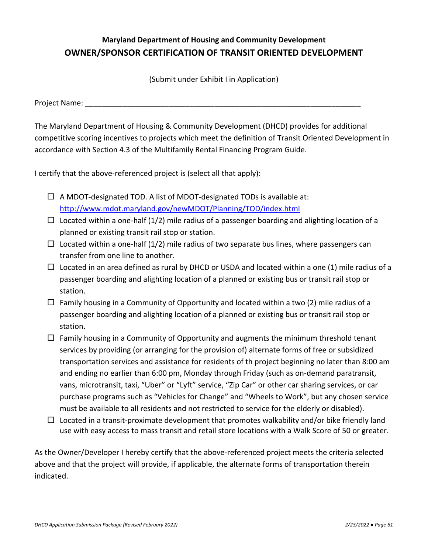# **Maryland Department of Housing and Community Development OWNER/SPONSOR CERTIFICATION OF TRANSIT ORIENTED DEVELOPMENT**

(Submit under Exhibit I in Application)

Project Name:

The Maryland Department of Housing & Community Development (DHCD) provides for additional competitive scoring incentives to projects which meet the definition of Transit Oriented Development in accordance with Section 4.3 of the Multifamily Rental Financing Program Guide.

I certify that the above-referenced project is (select all that apply):

- $\Box$  A MDOT-designated TOD. A list of MDOT-designated TODs is available at: <http://www.mdot.maryland.gov/newMDOT/Planning/TOD/index.html>
- $\Box$  Located within a one-half (1/2) mile radius of a passenger boarding and alighting location of a planned or existing transit rail stop or station.
- $\Box$  Located within a one-half (1/2) mile radius of two separate bus lines, where passengers can transfer from one line to another.
- $\Box$  Located in an area defined as rural by DHCD or USDA and located within a one (1) mile radius of a passenger boarding and alighting location of a planned or existing bus or transit rail stop or station.
- $\Box$  Family housing in a Community of Opportunity and located within a two (2) mile radius of a passenger boarding and alighting location of a planned or existing bus or transit rail stop or station.
- $\Box$  Family housing in a Community of Opportunity and augments the minimum threshold tenant services by providing (or arranging for the provision of) alternate forms of free or subsidized transportation services and assistance for residents of th project beginning no later than 8:00 am and ending no earlier than 6:00 pm, Monday through Friday (such as on-demand paratransit, vans, microtransit, taxi, "Uber" or "Lyft" service, "Zip Car" or other car sharing services, or car purchase programs such as "Vehicles for Change" and "Wheels to Work", but any chosen service must be available to all residents and not restricted to service for the elderly or disabled).
- $\Box$  Located in a transit-proximate development that promotes walkability and/or bike friendly land use with easy access to mass transit and retail store locations with a Walk Score of 50 or greater.

As the Owner/Developer I hereby certify that the above-referenced project meets the criteria selected above and that the project will provide, if applicable, the alternate forms of transportation therein indicated.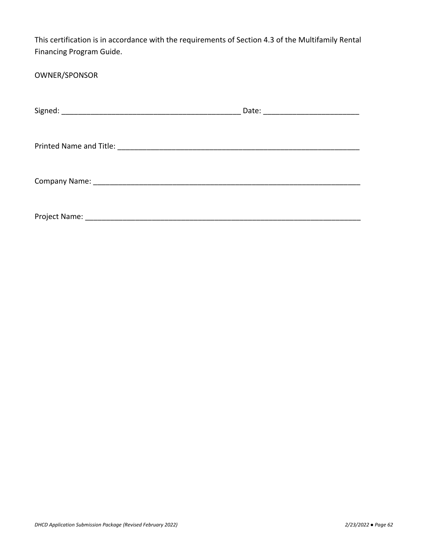This certification is in accordance with the requirements of Section 4.3 of the Multifamily Rental Financing Program Guide.

# OWNER/SPONSOR

|               | Date: ________________________ |
|---------------|--------------------------------|
|               |                                |
|               |                                |
|               |                                |
|               |                                |
|               |                                |
| Project Name: |                                |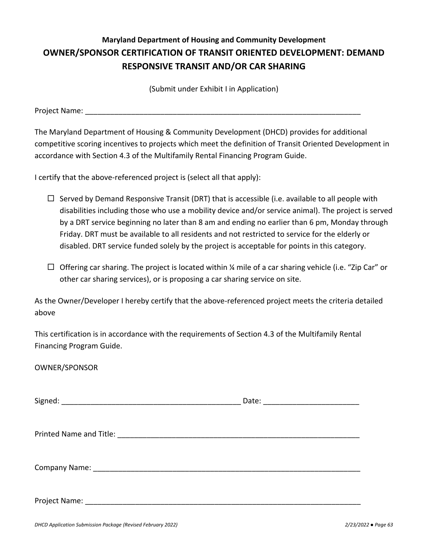# **Maryland Department of Housing and Community Development OWNER/SPONSOR CERTIFICATION OF TRANSIT ORIENTED DEVELOPMENT: DEMAND RESPONSIVE TRANSIT AND/OR CAR SHARING**

(Submit under Exhibit I in Application)

Project Name: **Example 2018** 

The Maryland Department of Housing & Community Development (DHCD) provides for additional competitive scoring incentives to projects which meet the definition of Transit Oriented Development in accordance with Section 4.3 of the Multifamily Rental Financing Program Guide.

I certify that the above-referenced project is (select all that apply):

- $\Box$  Served by Demand Responsive Transit (DRT) that is accessible (i.e. available to all people with disabilities including those who use a mobility device and/or service animal). The project is served by a DRT service beginning no later than 8 am and ending no earlier than 6 pm, Monday through Friday. DRT must be available to all residents and not restricted to service for the elderly or disabled. DRT service funded solely by the project is acceptable for points in this category.
- $\Box$  Offering car sharing. The project is located within ¼ mile of a car sharing vehicle (i.e. "Zip Car" or other car sharing services), or is proposing a car sharing service on site.

As the Owner/Developer I hereby certify that the above-referenced project meets the criteria detailed above

This certification is in accordance with the requirements of Section 4.3 of the Multifamily Rental Financing Program Guide.

OWNER/SPONSOR

 $Signed:$ 

Printed Name and Title: **Example 2018** 

Company Name: \_\_\_\_\_\_\_\_\_\_\_\_\_\_\_\_\_\_\_\_\_\_\_\_\_\_\_\_\_\_\_\_\_\_\_\_\_\_\_\_\_\_\_\_\_\_\_\_\_\_\_\_\_\_\_\_\_\_\_\_\_\_\_\_

Project Name: \_\_\_\_\_\_\_\_\_\_\_\_\_\_\_\_\_\_\_\_\_\_\_\_\_\_\_\_\_\_\_\_\_\_\_\_\_\_\_\_\_\_\_\_\_\_\_\_\_\_\_\_\_\_\_\_\_\_\_\_\_\_\_\_\_\_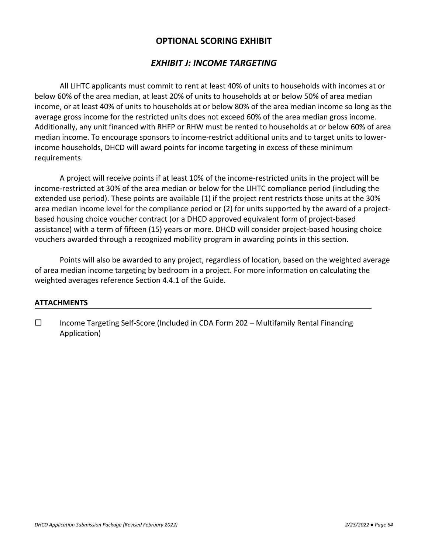## *EXHIBIT J: INCOME TARGETING*

All LIHTC applicants must commit to rent at least 40% of units to households with incomes at or below 60% of the area median, at least 20% of units to households at or below 50% of area median income, or at least 40% of units to households at or below 80% of the area median income so long as the average gross income for the restricted units does not exceed 60% of the area median gross income. Additionally, any unit financed with RHFP or RHW must be rented to households at or below 60% of area median income. To encourage sponsors to income-restrict additional units and to target units to lowerincome households, DHCD will award points for income targeting in excess of these minimum requirements.

A project will receive points if at least 10% of the income-restricted units in the project will be income-restricted at 30% of the area median or below for the LIHTC compliance period (including the extended use period). These points are available (1) if the project rent restricts those units at the 30% area median income level for the compliance period or (2) for units supported by the award of a projectbased housing choice voucher contract (or a DHCD approved equivalent form of project-based assistance) with a term of fifteen (15) years or more. DHCD will consider project-based housing choice vouchers awarded through a recognized mobility program in awarding points in this section.

Points will also be awarded to any project, regardless of location, based on the weighted average of area median income targeting by bedroom in a project. For more information on calculating the weighted averages reference Section 4.4.1 of the Guide.

## **ATTACHMENTS**

 $\Box$  Income Targeting Self-Score (Included in CDA Form 202 – Multifamily Rental Financing Application)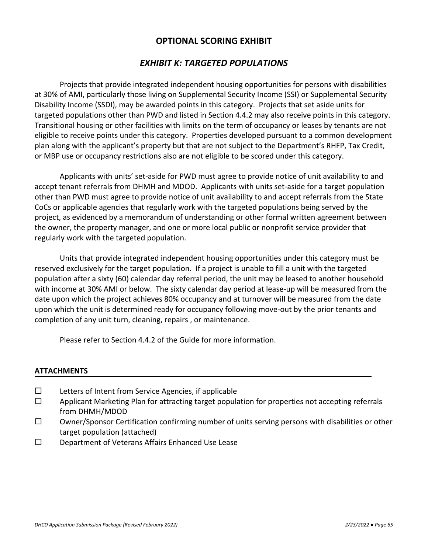# *EXHIBIT K: TARGETED POPULATIONS*

Projects that provide integrated independent housing opportunities for persons with disabilities at 30% of AMI, particularly those living on Supplemental Security Income (SSI) or Supplemental Security Disability Income (SSDI), may be awarded points in this category. Projects that set aside units for targeted populations other than PWD and listed in Section 4.4.2 may also receive points in this category. Transitional housing or other facilities with limits on the term of occupancy or leases by tenants are not eligible to receive points under this category. Properties developed pursuant to a common development plan along with the applicant's property but that are not subject to the Department's RHFP, Tax Credit, or MBP use or occupancy restrictions also are not eligible to be scored under this category.

Applicants with units' set-aside for PWD must agree to provide notice of unit availability to and accept tenant referrals from DHMH and MDOD. Applicants with units set-aside for a target population other than PWD must agree to provide notice of unit availability to and accept referrals from the State CoCs or applicable agencies that regularly work with the targeted populations being served by the project, as evidenced by a memorandum of understanding or other formal written agreement between the owner, the property manager, and one or more local public or nonprofit service provider that regularly work with the targeted population.

Units that provide integrated independent housing opportunities under this category must be reserved exclusively for the target population. If a project is unable to fill a unit with the targeted population after a sixty (60) calendar day referral period, the unit may be leased to another household with income at 30% AMI or below. The sixty calendar day period at lease-up will be measured from the date upon which the project achieves 80% occupancy and at turnover will be measured from the date upon which the unit is determined ready for occupancy following move-out by the prior tenants and completion of any unit turn, cleaning, repairs , or maintenance.

Please refer to Section 4.4.2 of the Guide for more information.

### **ATTACHMENTS**

- $\square$  Letters of Intent from Service Agencies, if applicable
- $\Box$  Applicant Marketing Plan for attracting target population for properties not accepting referrals from DHMH/MDOD
- $\square$  Owner/Sponsor Certification confirming number of units serving persons with disabilities or other target population (attached)
- D Department of Veterans Affairs Enhanced Use Lease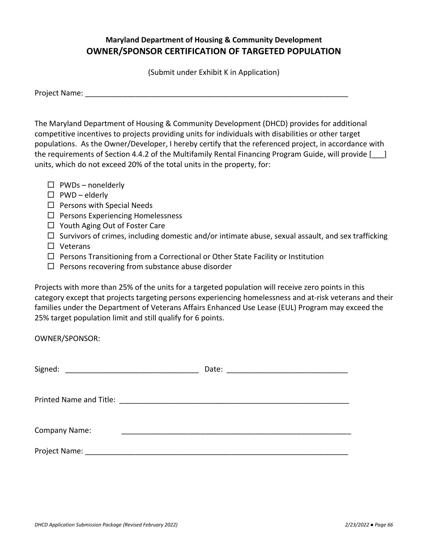# **Maryland Department of Housing & Community Development OWNER/SPONSOR CERTIFICATION OF TARGETED POPULATION**

(Submit under Exhibit K in Application)

| Project Name: |  |
|---------------|--|
|               |  |

The Maryland Department of Housing & Community Development (DHCD) provides for additional competitive incentives to projects providing units for individuals with disabilities or other target populations. As the Owner/Developer, I hereby certify that the referenced project, in accordance with the requirements of Section 4.4.2 of the Multifamily Rental Financing Program Guide, will provide [  $\Box$ ] units, which do not exceed 20% of the total units in the property, for:

- $\square$  PWDs nonelderly
- $\square$  PWD elderly
- $\square$  Persons with Special Needs
- $\Box$  Persons Experiencing Homelessness
- $\Box$  Youth Aging Out of Foster Care
- $\Box$  Survivors of crimes, including domestic and/or intimate abuse, sexual assault, and sex trafficking
- □ Veterans
- $\Box$  Persons Transitioning from a Correctional or Other State Facility or Institution
- $\Box$  Persons recovering from substance abuse disorder

Projects with more than 25% of the units for a targeted population will receive zero points in this category except that projects targeting persons experiencing homelessness and at-risk veterans and their families under the Department of Veterans Affairs Enhanced Use Lease (EUL) Program may exceed the 25% target population limit and still qualify for 6 points.

OWNER/SPONSOR:

| <b>Company Name:</b> |  |
|----------------------|--|
|                      |  |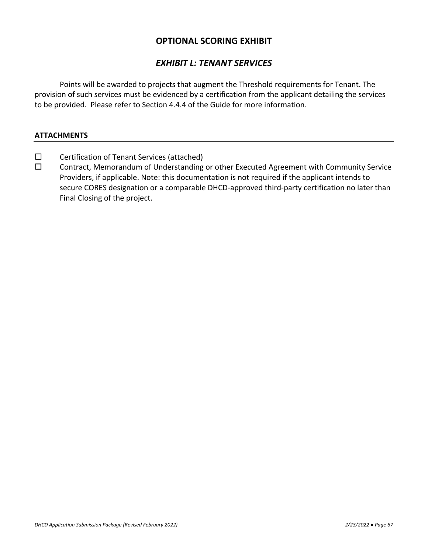## *EXHIBIT L: TENANT SERVICES*

Points will be awarded to projects that augment the Threshold requirements for Tenant. The provision of such services must be evidenced by a certification from the applicant detailing the services to be provided. Please refer to Section 4.4.4 of the Guide for more information.

### **ATTACHMENTS**

- $\square$  Certification of Tenant Services (attached)
- Contract, Memorandum of Understanding or other Executed Agreement with Community Service Providers, if applicable. Note: this documentation is not required if the applicant intends to secure CORES designation or a comparable DHCD-approved third-party certification no later than Final Closing of the project.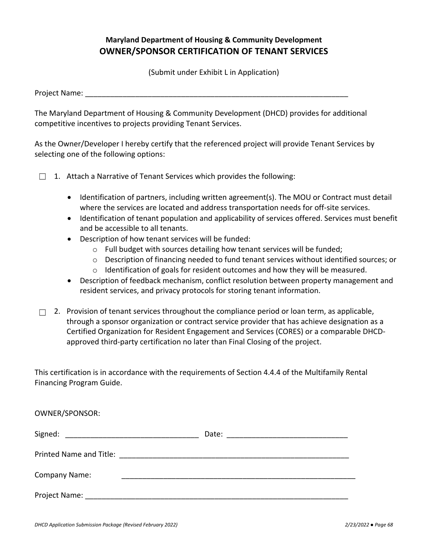# **Maryland Department of Housing & Community Development OWNER/SPONSOR CERTIFICATION OF TENANT SERVICES**

(Submit under Exhibit L in Application)

Project Name:

The Maryland Department of Housing & Community Development (DHCD) provides for additional competitive incentives to projects providing Tenant Services.

As the Owner/Developer I hereby certify that the referenced project will provide Tenant Services by selecting one of the following options:

□ 1. Attach a Narrative of Tenant Services which provides the following:

- Identification of partners, including written agreement(s). The MOU or Contract must detail where the services are located and address transportation needs for off-site services.
- Identification of tenant population and applicability of services offered. Services must benefit and be accessible to all tenants.
- Description of how tenant services will be funded:
	- o Full budget with sources detailing how tenant services will be funded;
	- $\circ$  Description of financing needed to fund tenant services without identified sources; or
	- $\circ$  Identification of goals for resident outcomes and how they will be measured.
- Description of feedback mechanism, conflict resolution between property management and resident services, and privacy protocols for storing tenant information.
- $\Box$ 2. Provision of tenant services throughout the compliance period or loan term, as applicable, through a sponsor organization or contract service provider that has achieve designation as a Certified Organization for Resident Engagement and Services (CORES) or a comparable DHCDapproved third-party certification no later than Final Closing of the project.

This certification is in accordance with the requirements of Section 4.4.4 of the Multifamily Rental Financing Program Guide.

| OWNER/SPONSOR: |  |
|----------------|--|
|                |  |
|                |  |
| Company Name:  |  |
|                |  |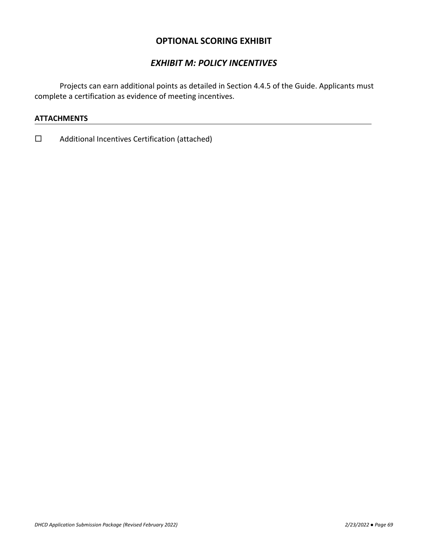# *EXHIBIT M: POLICY INCENTIVES*

Projects can earn additional points as detailed in Section 4.4.5 of the Guide. Applicants must complete a certification as evidence of meeting incentives.

### **ATTACHMENTS**

□ Additional Incentives Certification (attached)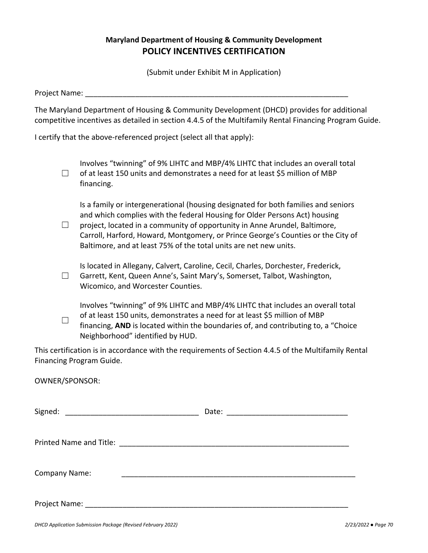# **Maryland Department of Housing & Community Development POLICY INCENTIVES CERTIFICATION**

(Submit under Exhibit M in Application)

Project Name:

The Maryland Department of Housing & Community Development (DHCD) provides for additional competitive incentives as detailed in section 4.4.5 of the Multifamily Rental Financing Program Guide.

I certify that the above-referenced project (select all that apply):

☐ Involves "twinning" of 9% LIHTC and MBP/4% LIHTC that includes an overall total of at least 150 units and demonstrates a need for at least \$5 million of MBP financing.

Is a family or intergenerational (housing designated for both families and seniors and which complies with the federal Housing for Older Persons Act) housing

☐ project, located in a community of opportunity in Anne Arundel, Baltimore, Carroll, Harford, Howard, Montgomery, or Prince George's Counties or the City of Baltimore, and at least 75% of the total units are net new units.

☐ Is located in Allegany, Calvert, Caroline, Cecil, Charles, Dorchester, Frederick, Garrett, Kent, Queen Anne's, Saint Mary's, Somerset, Talbot, Washington, Wicomico, and Worcester Counties.

 $\Box$ Involves "twinning" of 9% LIHTC and MBP/4% LIHTC that includes an overall total of at least 150 units, demonstrates a need for at least \$5 million of MBP financing, **AND** is located within the boundaries of, and contributing to, a "Choice Neighborhood" identified by HUD.

This certification is in accordance with the requirements of Section 4.4.5 of the Multifamily Rental Financing Program Guide.

OWNER/SPONSOR:

| Signed:              |  |
|----------------------|--|
|                      |  |
|                      |  |
|                      |  |
| <b>Company Name:</b> |  |
|                      |  |
|                      |  |
| Project Name: ___    |  |